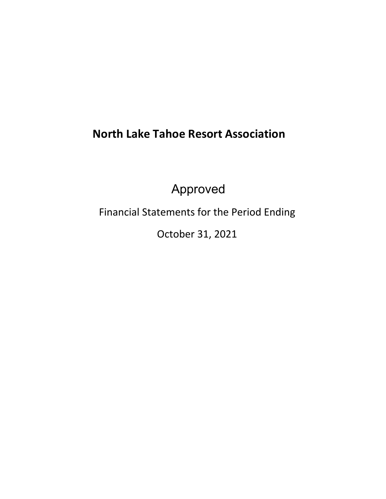# **North Lake Tahoe Resort Association**

Approved

Financial Statements for the Period Ending

October 31, 2021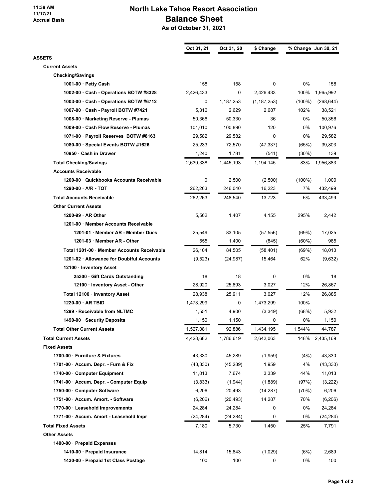#### 11:38 AM 11/17/21 Accrual Basis

# North Lake Tahoe Resort Association Balance Sheet As of October 31, 2021

| Oct 31, 21 | Oct 31, 20                                                                                                                                                                                                                                     | \$ Change                                                                                                                                                                                                                                  |                                                                                                                                                                                                                                                      | % Change Jun 30, 21                                                                                                                                                                                      |
|------------|------------------------------------------------------------------------------------------------------------------------------------------------------------------------------------------------------------------------------------------------|--------------------------------------------------------------------------------------------------------------------------------------------------------------------------------------------------------------------------------------------|------------------------------------------------------------------------------------------------------------------------------------------------------------------------------------------------------------------------------------------------------|----------------------------------------------------------------------------------------------------------------------------------------------------------------------------------------------------------|
|            |                                                                                                                                                                                                                                                |                                                                                                                                                                                                                                            |                                                                                                                                                                                                                                                      |                                                                                                                                                                                                          |
|            |                                                                                                                                                                                                                                                |                                                                                                                                                                                                                                            |                                                                                                                                                                                                                                                      |                                                                                                                                                                                                          |
|            |                                                                                                                                                                                                                                                |                                                                                                                                                                                                                                            |                                                                                                                                                                                                                                                      | 158                                                                                                                                                                                                      |
|            |                                                                                                                                                                                                                                                |                                                                                                                                                                                                                                            |                                                                                                                                                                                                                                                      | 1,965,992                                                                                                                                                                                                |
|            |                                                                                                                                                                                                                                                |                                                                                                                                                                                                                                            |                                                                                                                                                                                                                                                      | (268, 644)                                                                                                                                                                                               |
|            |                                                                                                                                                                                                                                                |                                                                                                                                                                                                                                            |                                                                                                                                                                                                                                                      | 38,521                                                                                                                                                                                                   |
|            |                                                                                                                                                                                                                                                |                                                                                                                                                                                                                                            |                                                                                                                                                                                                                                                      | 50,356                                                                                                                                                                                                   |
|            |                                                                                                                                                                                                                                                |                                                                                                                                                                                                                                            |                                                                                                                                                                                                                                                      | 100.976                                                                                                                                                                                                  |
|            |                                                                                                                                                                                                                                                |                                                                                                                                                                                                                                            |                                                                                                                                                                                                                                                      | 29,582                                                                                                                                                                                                   |
|            |                                                                                                                                                                                                                                                |                                                                                                                                                                                                                                            |                                                                                                                                                                                                                                                      | 39,803                                                                                                                                                                                                   |
|            |                                                                                                                                                                                                                                                |                                                                                                                                                                                                                                            |                                                                                                                                                                                                                                                      | 139                                                                                                                                                                                                      |
|            |                                                                                                                                                                                                                                                |                                                                                                                                                                                                                                            |                                                                                                                                                                                                                                                      |                                                                                                                                                                                                          |
|            |                                                                                                                                                                                                                                                |                                                                                                                                                                                                                                            |                                                                                                                                                                                                                                                      | 1,956,883                                                                                                                                                                                                |
|            |                                                                                                                                                                                                                                                |                                                                                                                                                                                                                                            |                                                                                                                                                                                                                                                      |                                                                                                                                                                                                          |
|            |                                                                                                                                                                                                                                                |                                                                                                                                                                                                                                            |                                                                                                                                                                                                                                                      | 1,000<br>432,499                                                                                                                                                                                         |
|            |                                                                                                                                                                                                                                                |                                                                                                                                                                                                                                            |                                                                                                                                                                                                                                                      |                                                                                                                                                                                                          |
|            |                                                                                                                                                                                                                                                |                                                                                                                                                                                                                                            |                                                                                                                                                                                                                                                      | 433,499                                                                                                                                                                                                  |
|            |                                                                                                                                                                                                                                                |                                                                                                                                                                                                                                            |                                                                                                                                                                                                                                                      |                                                                                                                                                                                                          |
|            |                                                                                                                                                                                                                                                |                                                                                                                                                                                                                                            |                                                                                                                                                                                                                                                      | 2,442                                                                                                                                                                                                    |
|            |                                                                                                                                                                                                                                                |                                                                                                                                                                                                                                            |                                                                                                                                                                                                                                                      |                                                                                                                                                                                                          |
|            |                                                                                                                                                                                                                                                |                                                                                                                                                                                                                                            |                                                                                                                                                                                                                                                      | 17,025                                                                                                                                                                                                   |
|            |                                                                                                                                                                                                                                                |                                                                                                                                                                                                                                            |                                                                                                                                                                                                                                                      | 985                                                                                                                                                                                                      |
|            |                                                                                                                                                                                                                                                |                                                                                                                                                                                                                                            |                                                                                                                                                                                                                                                      | 18,010                                                                                                                                                                                                   |
|            |                                                                                                                                                                                                                                                |                                                                                                                                                                                                                                            |                                                                                                                                                                                                                                                      | (9,632)                                                                                                                                                                                                  |
|            |                                                                                                                                                                                                                                                |                                                                                                                                                                                                                                            |                                                                                                                                                                                                                                                      |                                                                                                                                                                                                          |
|            |                                                                                                                                                                                                                                                |                                                                                                                                                                                                                                            |                                                                                                                                                                                                                                                      | 18                                                                                                                                                                                                       |
|            |                                                                                                                                                                                                                                                |                                                                                                                                                                                                                                            |                                                                                                                                                                                                                                                      | 26,867                                                                                                                                                                                                   |
|            |                                                                                                                                                                                                                                                |                                                                                                                                                                                                                                            |                                                                                                                                                                                                                                                      | 26,885                                                                                                                                                                                                   |
|            |                                                                                                                                                                                                                                                |                                                                                                                                                                                                                                            |                                                                                                                                                                                                                                                      |                                                                                                                                                                                                          |
|            |                                                                                                                                                                                                                                                |                                                                                                                                                                                                                                            |                                                                                                                                                                                                                                                      | 5,932                                                                                                                                                                                                    |
|            |                                                                                                                                                                                                                                                |                                                                                                                                                                                                                                            |                                                                                                                                                                                                                                                      | 1,150                                                                                                                                                                                                    |
|            |                                                                                                                                                                                                                                                |                                                                                                                                                                                                                                            |                                                                                                                                                                                                                                                      | 44,787                                                                                                                                                                                                   |
| 4,428,682  | 1,786,619                                                                                                                                                                                                                                      | 2,642,063                                                                                                                                                                                                                                  | 148%                                                                                                                                                                                                                                                 | 2,435,169                                                                                                                                                                                                |
|            |                                                                                                                                                                                                                                                |                                                                                                                                                                                                                                            |                                                                                                                                                                                                                                                      |                                                                                                                                                                                                          |
| 43,330     | 45,289                                                                                                                                                                                                                                         | (1,959)                                                                                                                                                                                                                                    | (4%)                                                                                                                                                                                                                                                 | 43,330                                                                                                                                                                                                   |
| (43, 330)  | (45, 289)                                                                                                                                                                                                                                      | 1,959                                                                                                                                                                                                                                      | 4%                                                                                                                                                                                                                                                   | (43, 330)                                                                                                                                                                                                |
| 11,013     | 7,674                                                                                                                                                                                                                                          | 3,339                                                                                                                                                                                                                                      | 44%                                                                                                                                                                                                                                                  | 11,013                                                                                                                                                                                                   |
| (3,833)    | (1,944)                                                                                                                                                                                                                                        | (1,889)                                                                                                                                                                                                                                    | (97%)                                                                                                                                                                                                                                                | (3,222)                                                                                                                                                                                                  |
| 6,206      | 20,493                                                                                                                                                                                                                                         | (14, 287)                                                                                                                                                                                                                                  | (70%)                                                                                                                                                                                                                                                | 6,206                                                                                                                                                                                                    |
| (6,206)    | (20, 493)                                                                                                                                                                                                                                      | 14,287                                                                                                                                                                                                                                     | 70%                                                                                                                                                                                                                                                  | (6,206)                                                                                                                                                                                                  |
| 24,284     | 24,284                                                                                                                                                                                                                                         | 0                                                                                                                                                                                                                                          | 0%                                                                                                                                                                                                                                                   | 24,284                                                                                                                                                                                                   |
| (24, 284)  | (24, 284)                                                                                                                                                                                                                                      | 0                                                                                                                                                                                                                                          | 0%                                                                                                                                                                                                                                                   | (24, 284)                                                                                                                                                                                                |
| 7,180      | 5,730                                                                                                                                                                                                                                          | 1,450                                                                                                                                                                                                                                      | 25%                                                                                                                                                                                                                                                  | 7,791                                                                                                                                                                                                    |
|            |                                                                                                                                                                                                                                                |                                                                                                                                                                                                                                            |                                                                                                                                                                                                                                                      |                                                                                                                                                                                                          |
|            |                                                                                                                                                                                                                                                |                                                                                                                                                                                                                                            |                                                                                                                                                                                                                                                      |                                                                                                                                                                                                          |
| 14,814     | 15,843                                                                                                                                                                                                                                         | (1,029)                                                                                                                                                                                                                                    | (6%)                                                                                                                                                                                                                                                 | 2,689                                                                                                                                                                                                    |
| 100        | 100                                                                                                                                                                                                                                            | 0                                                                                                                                                                                                                                          | 0%                                                                                                                                                                                                                                                   | 100                                                                                                                                                                                                      |
|            | 158<br>2,426,433<br>0<br>5,316<br>50,366<br>101,010<br>29,582<br>25,233<br>1,240<br>2,639,338<br>0<br>262,263<br>262,263<br>5,562<br>25,549<br>555<br>26,104<br>(9, 523)<br>18<br>28,920<br>28,938<br>1,473,299<br>1,551<br>1,150<br>1,527,081 | 158<br>0<br>1,187,253<br>2,629<br>50,330<br>100.890<br>29,582<br>72,570<br>1,781<br>1,445,193<br>2,500<br>246,040<br>248,540<br>1,407<br>83,105<br>1,400<br>84,505<br>(24, 987)<br>18<br>25,893<br>25,911<br>0<br>4,900<br>1,150<br>92,886 | 0<br>2,426,433<br>(1, 187, 253)<br>2,687<br>36<br>120<br>0<br>(47, 337)<br>(541)<br>1,194,145<br>(2,500)<br>16,223<br>13,723<br>4,155<br>(57, 556)<br>(845)<br>(58, 401)<br>15,464<br>0<br>3,027<br>3,027<br>1,473,299<br>(3, 349)<br>0<br>1,434,195 | 0%<br>100%<br>$(100\%)$<br>102%<br>0%<br>0%<br>0%<br>(65%)<br>$(30\%)$<br>83%<br>$(100\%)$<br>7%<br>6%<br>295%<br>(69%)<br>$(60\%)$<br>(69%)<br>62%<br>0%<br>12%<br>12%<br>100%<br>(68%)<br>0%<br>1,544% |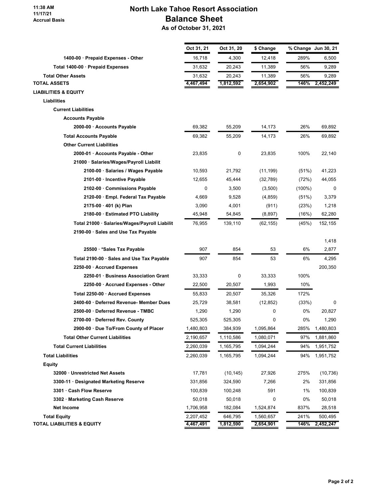#### 11:38 AM 11/17/21 Accrual Basis

# North Lake Tahoe Resort Association Balance Sheet As of October 31, 2021

|                                               | Oct 31, 21 | Oct 31, 20 | \$ Change |           | % Change Jun 30, 21 |
|-----------------------------------------------|------------|------------|-----------|-----------|---------------------|
| 1400-00 · Prepaid Expenses - Other            | 16,718     | 4,300      | 12,418    | 289%      | 6,500               |
| Total 1400-00 · Prepaid Expenses              | 31,632     | 20,243     | 11,389    | 56%       | 9,289               |
| <b>Total Other Assets</b>                     | 31,632     | 20,243     | 11,389    | 56%       | 9,289               |
| <b>TOTAL ASSETS</b>                           | 4,467,494  | 1,812,592  | 2,654,902 | 146%      | 2,452,249           |
| <b>LIABILITIES &amp; EQUITY</b>               |            |            |           |           |                     |
| Liabilities                                   |            |            |           |           |                     |
| <b>Current Liabilities</b>                    |            |            |           |           |                     |
| <b>Accounts Payable</b>                       |            |            |           |           |                     |
| 2000-00 · Accounts Payable                    | 69,382     | 55,209     | 14,173    | 26%       | 69,892              |
| <b>Total Accounts Payable</b>                 | 69,382     | 55,209     | 14,173    | 26%       | 69,892              |
| <b>Other Current Liabilities</b>              |            |            |           |           |                     |
| 2000-01 · Accounts Payable - Other            | 23,835     | 0          | 23,835    | 100%      | 22,140              |
| 21000 · Salaries/Wages/Payroll Liabilit       |            |            |           |           |                     |
| 2100-00 · Salaries / Wages Payable            | 10,593     | 21,792     | (11, 199) | (51%)     | 41,223              |
| 2101-00 · Incentive Payable                   | 12,655     | 45,444     | (32, 789) | (72%)     | 44,055              |
| 2102-00 · Commissions Payable                 | 0          | 3,500      | (3,500)   | $(100\%)$ | 0                   |
| 2120-00 · Empl. Federal Tax Payable           | 4,669      | 9,528      | (4, 859)  | (51%)     | 3,379               |
| 2175-00 · 401 (k) Plan                        | 3,090      | 4,001      | (911)     | (23%)     | 1,218               |
| 2180-00 · Estimated PTO Liability             | 45,948     | 54,845     | (8,897)   | (16%)     | 62,280              |
| Total 21000 · Salaries/Wages/Payroll Liabilit | 76,955     | 139,110    | (62, 155) | (45%)     | 152,155             |
| 2190-00 · Sales and Use Tax Payable           |            |            |           |           |                     |
|                                               |            |            |           |           | 1,418               |
| 25500 · * Sales Tax Payable                   | 907        | 854        | 53        | 6%        | 2,877               |
| Total 2190-00 · Sales and Use Tax Payable     | 907        | 854        | 53        | 6%        | 4,295               |
| 2250-00 · Accrued Expenses                    |            |            |           |           | 200,350             |
| 2250-01 · Business Association Grant          | 33,333     | 0          | 33,333    | 100%      |                     |
| 2250-00 · Accrued Expenses - Other            | 22,500     | 20,507     | 1,993     | 10%       |                     |
| Total 2250-00 · Accrued Expenses              | 55,833     | 20,507     | 35,326    | 172%      |                     |
| 2400-60 · Deferred Revenue- Member Dues       | 25,729     | 38,581     | (12, 852) | (33%)     | 0                   |
| 2500-00 · Deferred Revenue - TMBC             | 1,290      | 1,290      | 0         | 0%        | 20,827              |
| 2700-00 · Deferred Rev. County                | 525,305    | 525,305    | 0         | 0%        | 1,290               |
| 2900-00 · Due To/From County of Placer        | 1,480,803  | 384,939    | 1,095,864 | 285%      | 1,480,803           |
| <b>Total Other Current Liabilities</b>        | 2,190,657  | 1,110,586  | 1,080,071 | 97%       | 1,881,860           |
| <b>Total Current Liabilities</b>              | 2,260,039  | 1,165,795  | 1,094,244 | 94%       | 1,951,752           |
| <b>Total Liabilities</b>                      | 2,260,039  | 1,165,795  | 1,094,244 | 94%       | 1,951,752           |
| <b>Equity</b>                                 |            |            |           |           |                     |
| 32000 · Unrestricted Net Assets               | 17,781     | (10, 145)  | 27,926    | 275%      | (10, 736)           |
| 3300-11 · Designated Marketing Reserve        | 331,856    | 324,590    | 7,266     | 2%        | 331,856             |
| 3301 · Cash Flow Reserve                      | 100,839    | 100,248    | 591       | 1%        | 100,839             |
| 3302 · Marketing Cash Reserve                 | 50,018     | 50,018     | 0         | 0%        | 50,018              |
| Net Income                                    | 1,706,958  | 182,084    | 1,524,874 | 837%      | 28,518              |
| <b>Total Equity</b>                           | 2,207,452  | 646,795    | 1,560,657 | 241%      | 500,495             |
| <b>TOTAL LIABILITIES &amp; EQUITY</b>         | 4,467,491  | 1,812,590  | 2,654,901 | 146%      | 2,452,247           |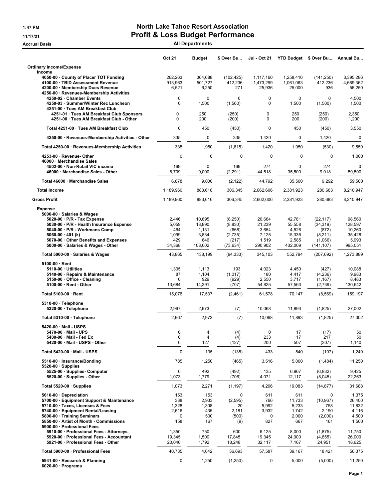# 1:47 PM **North Lake Tahoe Resort Association** 11/17/21 Profit & Loss Budget Performance

Accrual Basis **Accrual Basis** All Departments

|                                                                                                                                                                                                                                                                  | Oct 21                                          | <b>Budget</b>                                        | \$ Over Bu                                                   | Jul - Oct 21                                           | <b>YTD Budget</b>                                       | \$ Over Bu                                                          | Annual Bu                                                 |
|------------------------------------------------------------------------------------------------------------------------------------------------------------------------------------------------------------------------------------------------------------------|-------------------------------------------------|------------------------------------------------------|--------------------------------------------------------------|--------------------------------------------------------|---------------------------------------------------------|---------------------------------------------------------------------|-----------------------------------------------------------|
| <b>Ordinary Income/Expense</b><br>Income                                                                                                                                                                                                                         |                                                 |                                                      |                                                              |                                                        |                                                         |                                                                     |                                                           |
| 4050-00 County of Placer TOT Funding<br>4100-00 · TBID Assessment Revenue<br>4200-00 · Membership Dues Revenue<br>4250-00 · Revenues-Membership Activities                                                                                                       | 262,263<br>913,963<br>6,521                     | 364,688<br>501,727<br>6,250                          | (102, 425)<br>412,236<br>271                                 | 1,117,160<br>1,473,299<br>25,936                       | 1,258,410<br>1,061,063<br>25,000                        | (141, 250)<br>412,236<br>936                                        | 3,395,286<br>4,689,362<br>56,250                          |
| 4250-02 · Chamber Events<br>4250-03 · Summer/Winter Rec Luncheon<br>4251-00 · Tues AM Breakfast Club                                                                                                                                                             | $\mathbf 0$<br>0                                | $\mathbf 0$<br>1,500                                 | $\Omega$<br>(1,500)                                          | $\mathbf 0$<br>$\mathbf 0$                             | $\mathbf 0$<br>1,500                                    | 0<br>(1,500)                                                        | 4,500<br>1,500                                            |
| 4251-01 · Tues AM Breakfast Club Sponsors<br>4251-00 · Tues AM Breakfast Club - Other                                                                                                                                                                            | 0<br>0                                          | 250<br>200                                           | (250)<br>(200)                                               | 0<br>0                                                 | 250<br>200                                              | (250)<br>(200)                                                      | 2,350<br>1,200                                            |
| Total 4251-00 · Tues AM Breakfast Club                                                                                                                                                                                                                           | $\mathbf 0$                                     | 450                                                  | (450)                                                        | $\Omega$                                               | 450                                                     | (450)                                                               | 3,550                                                     |
| 4250-00 · Revenues-Membership Activities - Other                                                                                                                                                                                                                 | 335                                             | 0                                                    | 335                                                          | 1,420                                                  | $\mathbf 0$                                             | 1,420                                                               | 0                                                         |
| Total 4250-00 · Revenues-Membership Activities                                                                                                                                                                                                                   | 335                                             | 1,950                                                | (1,615)                                                      | 1,420                                                  | 1,950                                                   | (530)                                                               | 9,550                                                     |
| 4253-00 · Revenue- Other<br>46000 · Merchandise Sales                                                                                                                                                                                                            | $\mathbf 0$                                     | 0                                                    | $\mathbf 0$                                                  | $\mathbf 0$                                            | $\mathbf 0$                                             | $\mathbf 0$                                                         | 1,000                                                     |
| 4502-00 · Non-Retail VIC income<br>46000 Merchandise Sales - Other                                                                                                                                                                                               | 169<br>6,709                                    | $\mathbf 0$<br>9,000                                 | 169<br>(2, 291)                                              | 274<br>44,518                                          | $\mathbf 0$<br>35,500                                   | 274<br>9,018                                                        | $\mathbf 0$<br>59,500                                     |
| Total 46000 · Merchandise Sales                                                                                                                                                                                                                                  | 6,878                                           | 9,000                                                | (2, 122)                                                     | 44,792                                                 | 35,500                                                  | 9,292                                                               | 59,500                                                    |
| <b>Total Income</b>                                                                                                                                                                                                                                              | 1,189,960                                       | 883,616                                              | 306,345                                                      | 2,662,606                                              | 2,381,923                                               | 280,683                                                             | 8,210,947                                                 |
| <b>Gross Profit</b>                                                                                                                                                                                                                                              | 1,189,960                                       | 883,616                                              | 306,345                                                      | 2,662,606                                              | 2,381,923                                               | 280,683                                                             | 8,210,947                                                 |
| <b>Expense</b><br>5000-00 · Salaries & Wages<br>5020-00 · P/R - Tax Expense<br>5030-00 · P/R - Health Insurance Expense<br>5040-00 · P/R - Workmans Comp<br>5060-00 $\cdot$ 401 (k)<br>5070-00 Other Benefits and Expenses<br>5000-00 · Salaries & Wages - Other | 2,446<br>5,059<br>464<br>1,099<br>429<br>34,368 | 10,695<br>13,890<br>1,131<br>3,834<br>646<br>108,002 | (8,250)<br>(8,830)<br>(668)<br>(2,735)<br>(217)<br>(73, 634) | 20,664<br>21,239<br>3,654<br>7,125<br>1,519<br>290,902 | 42,781<br>55,558<br>4,526<br>15,336<br>2,585<br>432,009 | (22, 117)<br>(34, 319)<br>(872)<br>(8,211)<br>(1,066)<br>(141, 107) | 98,560<br>128,597<br>10.260<br>35,428<br>5,993<br>995,051 |
| Total 5000-00 · Salaries & Wages                                                                                                                                                                                                                                 | 43,865                                          | 138,199                                              | (94, 333)                                                    | 345,103                                                | 552,794                                                 | (207, 692)                                                          | 1,273,889                                                 |
| $5100-00 \cdot$ Rent<br>5110-00 · Utilities<br>5140-00 · Repairs & Maintenance<br>5150-00 · Office - Cleaning<br>5100-00 · Rent - Other                                                                                                                          | 1,305<br>87<br>0<br>13,684                      | 1,113<br>1,104<br>929<br>14,391                      | 193<br>(1,017)<br>(929)<br>(707)                             | 4,023<br>180<br>2,550<br>54,825                        | 4,450<br>4,417<br>3,717<br>57,563                       | (427)<br>(4,236)<br>(1, 167)<br>(2,739)                             | 10,088<br>9,983<br>8,483<br>130,642                       |
| Total 5100-00 · Rent                                                                                                                                                                                                                                             | 15,076                                          | 17,537                                               | (2,461)                                                      | 61,578                                                 | 70,147                                                  | (8, 569)                                                            | 159,197                                                   |
| 5310-00 · Telephone<br>5320-00 · Telephone                                                                                                                                                                                                                       | 2,967                                           | 2,973                                                | (7)                                                          | 10,068                                                 | 11,893                                                  | (1,825)                                                             | 27,002                                                    |
| Total 5310-00 · Telephone                                                                                                                                                                                                                                        | 2,967                                           | 2,973                                                | (7)                                                          | 10,068                                                 | 11,893                                                  | (1,825)                                                             | 27,002                                                    |
| 5420-00 · Mail - USPS<br>5470-00 · Mail - UPS<br>5480-00 · Mail - Fed Ex<br>5420-00 · Mail - USPS - Other                                                                                                                                                        | 0<br>$\pmb{0}$<br>0                             | 4<br>4<br>127                                        | (4)<br>(4)<br>(127)                                          | 0<br>233<br>200                                        | 17<br>17<br>507                                         | (17)<br>217<br>(307)                                                | 50<br>50<br>1,140                                         |
| Total 5420-00 · Mail - USPS                                                                                                                                                                                                                                      | $\mathbf 0$                                     | 135                                                  | (135)                                                        | 433                                                    | 540                                                     | (107)                                                               | 1,240                                                     |
| 5510-00 · Insurance/Bonding                                                                                                                                                                                                                                      | 785                                             | 1,250                                                | (465)                                                        | 3,516                                                  | 5,000                                                   | (1, 484)                                                            | 11,250                                                    |
| $5520-00 \cdot$ Supplies<br>5525-00 · Supplies- Computer<br>5520-00 · Supplies - Other                                                                                                                                                                           | 0<br>1,073                                      | 492<br>1,779                                         | (492)<br>(706)                                               | 135<br>4,071                                           | 6,967<br>12,117                                         | (6, 832)<br>(8,045)                                                 | 9,425<br>22,263                                           |
| Total 5520-00 $\cdot$ Supplies                                                                                                                                                                                                                                   | 1,073                                           | 2,271                                                | (1, 197)                                                     | 4,206                                                  | 19,083                                                  | (14, 877)                                                           | 31,688                                                    |
| 5610-00 · Depreciation<br>5700-00 · Equipment Support & Maintenance<br>5710-00 · Taxes, Licenses & Fees<br>5740-00 · Equipment Rental/Leasing<br>5800-00 · Training Seminars<br>5850-00 · Artist of Month - Commissions<br>5900-00 · Professional Fees           | 153<br>338<br>1,328<br>2,616<br>0<br>158        | 153<br>2,933<br>1,308<br>435<br>500<br>167           | 0<br>(2, 595)<br>20<br>2,181<br>(500)<br>(9)                 | 611<br>766<br>5,992<br>3,932<br>0<br>827               | 611<br>11,733<br>5,233<br>1,742<br>2,000<br>667         | 0<br>(10, 967)<br>758<br>2,190<br>(2,000)<br>161                    | 1,375<br>26,400<br>11,832<br>4,116<br>4,500<br>1,500      |
| 5910-00 · Professional Fees - Attorneys<br>5920-00 · Professional Fees - Accountant<br>5921-00 · Professional Fees - Other                                                                                                                                       | 1,350<br>19,345<br>20,040                       | 750<br>1,500<br>1,792                                | 600<br>17,845<br>18,248                                      | 6,125<br>19,345<br>32,117                              | 8,000<br>24,000<br>7,167                                | (1, 875)<br>(4,655)<br>24,951                                       | 11,750<br>26,000<br>18,625                                |
| Total 5900-00 · Professional Fees                                                                                                                                                                                                                                | 40,735                                          | 4,042                                                | 36,693                                                       | 57,587                                                 | 39,167                                                  | 18,421                                                              | 56,375                                                    |
| 5941-00 · Research & Planning<br>$6020-00 \cdot$ Programs                                                                                                                                                                                                        | 0                                               | 1,250                                                | (1,250)                                                      | 0                                                      | 5,000                                                   | (5,000)                                                             | 11,250                                                    |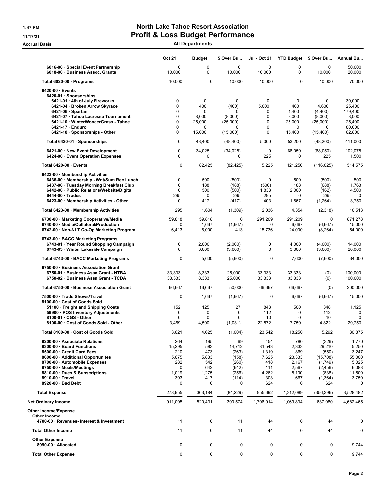# 1:47 PM **North Lake Tahoe Resort Association** 11/17/21 Profit & Loss Budget Performance

Accrual Basis **Accrual Basis** All Departments

|                                                                                                                   | Oct 21                | <b>Budget</b>   | \$ Over Bu          | Jul - Oct 21          | <b>YTD Budget</b> | \$ Over Bu          | <b>Annual Bu</b>   |
|-------------------------------------------------------------------------------------------------------------------|-----------------------|-----------------|---------------------|-----------------------|-------------------|---------------------|--------------------|
| 6016-00 · Special Event Partnership<br>6018-00 · Business Assoc. Grants                                           | $\mathbf 0$<br>10,000 | 0<br>0          | 0<br>10,000         | $\mathbf 0$<br>10,000 | 0<br>0            | 0<br>10,000         | 50,000<br>20,000   |
| Total 6020-00 · Programs                                                                                          | 10,000                | 0               | 10,000              | 10,000                | $\mathbf 0$       | 10,000              | 70,000             |
| $6420-00 \cdot$ Events<br>6420-01 · Sponsorships<br>6421-01 · 4th of July Fireworks                               | 0                     | 0               | $\mathbf 0$         | $\mathbf 0$           | 0                 | $\mathbf 0$         | 30,000             |
| 6421-04 · Broken Arrow Skyrace                                                                                    | $\Omega$              | 400             | (400)               | 5,000                 | 400               | 4,600               | 25,400             |
| $6421-06 \cdot$ Spartan                                                                                           | 0                     | 0               | 0                   | 0                     | 4,400             | (4,400)             | 179,400            |
| 6421-07 · Tahoe Lacrosse Tournament<br>6421-10 · WinterWonderGrass - Tahoe                                        | 0<br>0                | 8,000<br>25,000 | (8,000)<br>(25,000) | 0<br>0                | 8,000<br>25.000   | (8,000)<br>(25,000) | 8,000<br>25,400    |
| $6421-17 \cdot$ Enduro                                                                                            | 0                     | 0               | 0                   | 0                     | 0                 | 0                   | 80,000             |
| 6421-18 · Sponsorships - Other                                                                                    | 0                     | 15,000          | (15,000)            | 0                     | 15,400            | (15, 400)           | 62,800             |
| Total 6420-01 · Sponsorships                                                                                      | $\Omega$              | 48,400          | (48, 400)           | 5,000                 | 53,200            | (48, 200)           | 411,000            |
| 6421-00 · New Event Development<br>6424-00 · Event Operation Expenses                                             | $\pmb{0}$<br>0        | 34,025<br>0     | (34, 025)<br>0      | 0<br>225              | 68,050<br>0       | (68,050)<br>225     | 102,075<br>1,500   |
| Total 6420-00 · Events                                                                                            | $\mathbf 0$           | 82,425          | (82, 425)           | 5,225                 | 121,250           | (116, 025)          | 514,575            |
| 6423-00 · Membership Activities                                                                                   | $\mathbf 0$           | 500             |                     | $\mathbf 0$           | 500               |                     |                    |
| 6436-00 · Membership - Wnt/Sum Rec Lunch<br>6437-00 · Tuesday Morning Breakfast Club                              | $\mathbf 0$           | 188             | (500)<br>(188)      | (500)                 | 188               | (500)<br>(688)      | 500<br>1,763       |
| 6442-00 · Public Relations/Website/Digita                                                                         | $\mathbf 0$           | 500             | (500)               | 1,838                 | 2,000             | (162)               | 4,500              |
| $6444-00 \cdot Trades$<br>6423-00 · Membership Activities - Other                                                 | 295<br>0              | 0<br>417        | 295<br>(417)        | 295<br>403            | 0<br>1,667        | 295<br>(1, 264)     | 0<br>3,750         |
| Total 6423-00 · Membership Activities                                                                             | 295                   | 1,604           | (1,309)             | 2,036                 | 4,354             | (2,318)             | 10,513             |
| 6730-00 · Marketing Cooperative/Media                                                                             | 59,818                | 59,818          | 0                   | 291,209               | 291,209           | $\mathbf 0$         | 871,278            |
| 6740-00 · Media/Collateral/Production<br>6742-00 · Non-NLT Co-Op Marketing Program                                | $\Omega$<br>6,413     | 1,667<br>6,000  | (1,667)<br>413      | 0<br>15,736           | 6,667<br>24,000   | (6,667)<br>(8, 264) | 15,000<br>54,000   |
| 6743-00 · BACC Marketing Programs<br>6743-01 · Year Round Shopping Campaign<br>6743-03 · Winter Lakeside Campaign | $\mathbf 0$<br>0      | 2,000<br>3,600  | (2,000)<br>(3,600)  | $\pmb{0}$<br>0        | 4,000<br>3,600    | (4,000)<br>(3,600)  | 14,000<br>20,000   |
| Total 6743-00 · BACC Marketing Programs                                                                           | $\mathbf 0$           | 5,600           | (5,600)             | $\mathbf 0$           | 7,600             | (7,600)             | 34,000             |
| 6750-00 · Business Association Grant                                                                              |                       |                 |                     |                       |                   |                     |                    |
| 6750-01 · Business Assn Grant - NTBA<br>6750-02 · Business Assn Grant - TCDA                                      | 33,333<br>33,333      | 8,333<br>8,333  | 25,000<br>25,000    | 33,333<br>33,333      | 33,333<br>33,333  | (0)<br>(0)          | 100,000<br>100,000 |
| Total 6750-00 · Business Association Grant                                                                        | 66,667                | 16,667          | 50,000              | 66,667                | 66,667            | (0)                 | 200,000            |
| 7500-00 · Trade Shows/Travel<br>8100-00 · Cost of Goods Sold                                                      | 0                     | 1,667           | (1,667)             | 0                     | 6,667             | (6,667)             | 15,000             |
| 51100 · Freight and Shipping Costs<br>59900 · POS Inventory Adjustments                                           | 152<br>0              | 125<br>0        | 27<br>$\mathbf 0$   | 848<br>112            | 500<br>0          | 348<br>112          | 1,125<br>$\Omega$  |
| 8100-01 · CGS - Other                                                                                             | 0                     | 0               | 0                   | 10                    | 0                 | 10                  | 0                  |
| 8100-00 · Cost of Goods Sold - Other                                                                              | 3,469                 | 4,500           | (1,031)             | 22,572                | 17,750            | 4,822               | 29,750             |
| Total 8100-00 · Cost of Goods Sold                                                                                | 3.621                 | 4.625           | (1,004)             | 23.542                | 18,250            | 5.292               | 30,875             |
| 8200-00 · Associate Relations                                                                                     | 264                   | 195             | 69                  | 454                   | 780               | (326)               | 1,770              |
| 8300-00 · Board Functions                                                                                         | 15,295                | 583             | 14,712              | 31,543                | 2,333             | 29,210              | 5,250              |
| 8500-00 · Credit Card Fees                                                                                        | 210                   | 473             | (263)               | 1,319                 | 1,869             | (550)               | 3,247              |
| 8600-00 · Additional Opportunites<br>8700-00 · Automobile Expenses                                                | 5,675<br>282          | 5,833<br>542    | (158)<br>(260)      | 7,625<br>418          | 23,333<br>2,167   | (15,708)<br>(1,749) | 55,000<br>5,025    |
| 8750-00 · Meals/Meetings                                                                                          | $\mathbf 0$           | 642             | (642)               | 111                   | 2,567             | (2, 456)            | 6,088              |
| 8810-00 · Dues & Subscriptions                                                                                    | 1,019                 | 1,275           | (256)               | 4,262                 | 5,100             | (838)               | 11,500             |
| 8910-00 · Travel<br>8920-00 · Bad Debt                                                                            | 303<br>0              | 417<br>0        | (114)<br>0          | 303<br>624            | 1,667<br>0        | (1, 364)<br>624     | 3,750<br>0         |
| <b>Total Expense</b>                                                                                              | 278,955               | 363,184         | (84, 229)           | 955,692               | 1,312,089         | (356, 396)          | 3,528,482          |
| <b>Net Ordinary Income</b>                                                                                        | 911,005               | 520,431         | 390,574             | 1,706,914             | 1,069,834         | 637,080             | 4,682,465          |
| <b>Other Income/Expense</b>                                                                                       |                       |                 |                     |                       |                   |                     |                    |
| Other Income<br>4700-00 · Revenues- Interest & Investment                                                         | 11                    | 0               | 11                  | 44                    | 0                 | 44                  | 0                  |
| <b>Total Other Income</b>                                                                                         | 11                    | $\mathbf 0$     | 11                  | 44                    | $\mathbf 0$       | 44                  | 0                  |
| <b>Other Expense</b><br>8990-00 · Allocated                                                                       | 0                     | 0               | 0                   | 0                     | $\pmb{0}$         | 0                   | 9,744              |
|                                                                                                                   | $\pmb{0}$             | 0               | $\pmb{0}$           | $\pmb{0}$             | 0                 | $\mathbf 0$         | 9,744              |
| <b>Total Other Expense</b>                                                                                        |                       |                 |                     |                       |                   |                     |                    |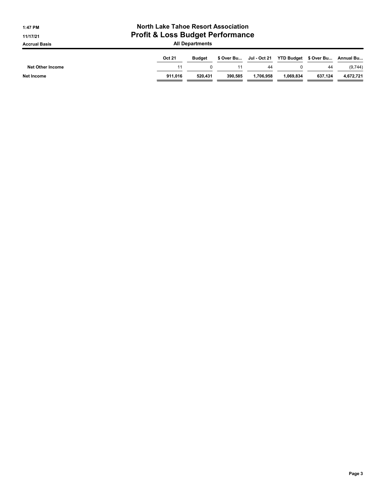| <b>North Lake Tahoe Resort Association</b><br>1:47 PM<br><b>Profit &amp; Loss Budget Performance</b><br>11/17/21 |                        |               |         |                         |           |                                 |           |  |
|------------------------------------------------------------------------------------------------------------------|------------------------|---------------|---------|-------------------------|-----------|---------------------------------|-----------|--|
| <b>Accrual Basis</b>                                                                                             | <b>All Departments</b> |               |         |                         |           |                                 |           |  |
|                                                                                                                  | <b>Oct 21</b>          | <b>Budget</b> |         | \$ Over Bu Jul - Oct 21 |           | YTD Budget \$ Over Bu Annual Bu |           |  |
| <b>Net Other Income</b>                                                                                          | 11                     | 0             | 11      | 44                      |           | 44                              | (9,744)   |  |
| Net Income                                                                                                       | 911.016                | 520.431       | 390.585 | 1.706.958               | 1.069.834 | 637.124                         | 4,672,721 |  |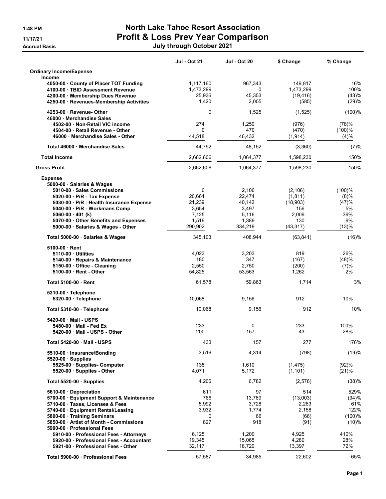# 1:48 PM North Lake Tahoe Resort Association 11/17/21 Profit & Loss Prev Year Comparison Accrual Basis July through October 2021

|                                                                         | <b>Jul - Oct 21</b> | <b>Jul - Oct 20</b> | \$ Change         | % Change       |
|-------------------------------------------------------------------------|---------------------|---------------------|-------------------|----------------|
| <b>Ordinary Income/Expense</b>                                          |                     |                     |                   |                |
| <b>Income</b><br>4050-00 County of Placer TOT Funding                   | 1,117,160           | 967,343             | 149,817           | 16%            |
| 4100-00 · TBID Assessment Revenue                                       | 1,473,299           | $\Omega$            | 1,473,299         | 100%           |
| 4200-00 Membership Dues Revenue                                         | 25,936              | 45,353              | (19, 416)         | (43)%          |
| 4250-00 Revenues-Membership Activities                                  | 1,420               | 2,005               | (585)             | (29)%          |
| 4253-00 Revenue-Other<br>46000 Merchandise Sales                        | 0                   | 1,525               | (1,525)           | (100)%         |
| 4502-00 Non-Retail VIC income                                           | 274                 | 1,250               | (976)             | (78)%          |
| 4504-00 Retail Revenue - Other<br>46000 Merchandise Sales - Other       | 0<br>44,518         | 470<br>46,432       | (470)<br>(1, 914) | (100)%<br>(4)% |
| Total 46000 Merchandise Sales                                           | 44,792              | 48,152              | (3,360)           | (7)%           |
| <b>Total Income</b>                                                     | 2,662,606           | 1,064,377           | 1,598,230         | 150%           |
| <b>Gross Profit</b>                                                     | 2,662,606           | 1,064,377           | 1,598,230         | 150%           |
| <b>Expense</b>                                                          |                     |                     |                   |                |
| 5000-00 · Salaries & Wages                                              |                     |                     |                   |                |
| 5010-00 Sales Commissions                                               | 0                   | 2,106               | (2, 106)          | (100)%         |
| 5020-00 · P/R - Tax Expense                                             | 20,664              | 22,474              | (1, 811)          | (8)%           |
| 5030-00 · P/R - Health Insurance Expense                                | 21,239              | 40,142              | (18,903)          | (47)%          |
| 5040-00 · P/R - Workmans Comp                                           | 3,654               | 3,497               | 156               | 5%             |
| $5060-00 \cdot 401$ (k)                                                 | 7,125               | 5,116               | 2,009             | 39%            |
| 5070-00 Other Benefits and Expenses<br>5000-00 Salaries & Wages - Other | 1,519<br>290,902    | 1,389<br>334,219    | 130<br>(43, 317)  | 9%<br>(13)%    |
| Total 5000-00 · Salaries & Wages                                        | 345,103             | 408,944             | (63, 841)         | (16)%          |
| 5100-00 Rent                                                            |                     |                     |                   |                |
| 5110-00 Utilities                                                       | 4,023               | 3,203               | 819               | 26%            |
| 5140-00 · Repairs & Maintenance                                         | 180                 | 347                 | (167)             | (48)%          |
| 5150-00 Office - Cleaning                                               | 2,550               | 2,750               | (200)             | (7)%           |
| 5100-00 Rent - Other                                                    | 54,825              | 53,563              | 1,262             | 2%             |
| <b>Total 5100-00 Rent</b>                                               | 61,578              | 59,863              | 1,714             | 3%             |
| 5310-00 · Telephone                                                     |                     |                     |                   |                |
| 5320-00 · Telephone                                                     | 10,068              | 9,156               | 912               | 10%            |
| Total 5310-00 · Telephone                                               | 10,068              | 9,156               | 912               | 10%            |
| 5420-00 Mail - USPS                                                     |                     |                     |                   |                |
| 5480-00 Mail - Fed Ex                                                   | 233<br>200          | 0<br>157            | 233<br>43         | 100%<br>28%    |
| 5420-00 Mail - USPS - Other                                             |                     |                     |                   |                |
| Total 5420-00 Mail - USPS                                               | 433                 | 157                 | 277               | 176%           |
| 5510-00 · Insurance/Bonding<br>5520-00 Supplies                         | 3,516               | 4,314               | (798)             | (19)%          |
| 5525-00 · Supplies- Computer                                            | 135                 | 1,610               | (1, 475)          | (92)%          |
| 5520-00 · Supplies - Other                                              | 4,071               | 5,172               | (1, 101)          | (21)%          |
| Total 5520-00 Supplies                                                  | 4,206               | 6,782               | (2,576)           | (38)%          |
| 5610-00 Depreciation                                                    | 611                 | 97                  | 514               | 529%           |
| 5700-00 · Equipment Support & Maintenance                               | 766                 | 13,769              | (13,003)          | (94)%          |
| 5710-00 · Taxes, Licenses & Fees                                        | 5,992               | 3,728               | 2,263             | 61%            |
| 5740-00 · Equipment Rental/Leasing                                      | 3,932               | 1,774               | 2,158             | 122%           |
| 5800-00 Training Seminars                                               | 0                   | 66                  | (66)              | $(100)$ %      |
| 5850-00 Artist of Month - Commissions<br>5900-00 · Professional Fees    | 827                 | 918                 | (91)              | (10)%          |
| 5910-00 · Professional Fees - Attorneys                                 | 6,125               | 1,200               | 4,925             | 410%           |
| 5920-00 · Professional Fees - Accountant                                | 19,345              | 15,065              | 4,280             | 28%            |
| 5921-00 Professional Fees - Other                                       | 32,117              | 18,720              | 13,397            | 72%            |
|                                                                         |                     |                     |                   |                |
| Total 5900-00 · Professional Fees                                       | 57,587              | 34,985              | 22,602            | 65%            |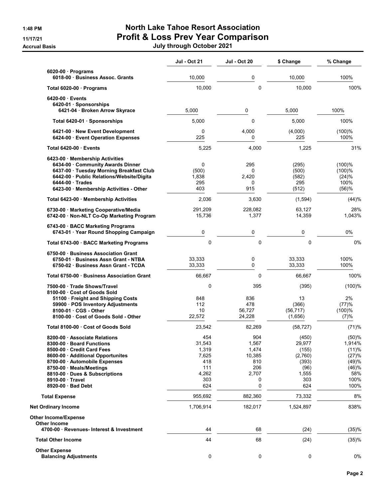# 1:48 PM North Lake Tahoe Resort Association 11/17/21 Profit & Loss Prev Year Comparison Accrual Basis July through October 2021

|                                                                                                                                                                                                                      | <b>Jul - Oct 21</b>                                    | <b>Jul - Oct 20</b>                                    | \$ Change                                                     | % Change                                                   |
|----------------------------------------------------------------------------------------------------------------------------------------------------------------------------------------------------------------------|--------------------------------------------------------|--------------------------------------------------------|---------------------------------------------------------------|------------------------------------------------------------|
| $6020-00$ Programs<br>6018-00 Business Assoc. Grants                                                                                                                                                                 | 10,000                                                 | 0                                                      | 10,000                                                        | 100%                                                       |
| Total 6020-00 · Programs                                                                                                                                                                                             | 10,000                                                 | 0                                                      | 10,000                                                        | 100%                                                       |
| 6420-00 Events<br>6420-01 · Sponsorships                                                                                                                                                                             |                                                        |                                                        |                                                               |                                                            |
| 6421-04 · Broken Arrow Skyrace                                                                                                                                                                                       | 5,000                                                  | 0                                                      | 5,000                                                         | 100%                                                       |
| Total 6420-01 · Sponsorships                                                                                                                                                                                         | 5,000                                                  | $\Omega$                                               | 5,000                                                         | 100%                                                       |
| 6421-00 New Event Development<br>6424-00 Event Operation Expenses                                                                                                                                                    | $\mathbf 0$<br>225                                     | 4,000<br>0                                             | (4,000)<br>225                                                | (100)%<br>100%                                             |
| Total 6420-00 Events                                                                                                                                                                                                 | 5,225                                                  | 4,000                                                  | 1,225                                                         | 31%                                                        |
| 6423-00 Membership Activities<br>6434-00 Community Awards Dinner<br>6437-00 · Tuesday Morning Breakfast Club<br>6442-00 · Public Relations/Website/Digita<br>6444-00 Trades<br>6423-00 Membership Activities - Other | 0<br>(500)<br>1,838<br>295<br>403                      | 295<br>0<br>2,420<br>0<br>915                          | (295)<br>(500)<br>(582)<br>295<br>(512)                       | $(100)$ %<br>(100)%<br>(24)%<br>100%<br>(56)%              |
| Total 6423-00 · Membership Activities                                                                                                                                                                                | 2,036                                                  | 3,630                                                  | (1,594)                                                       | (44)%                                                      |
| 6730-00 Marketing Cooperative/Media<br>6742-00 · Non-NLT Co-Op Marketing Program                                                                                                                                     | 291,209<br>15,736                                      | 228,082<br>1,377                                       | 63,127<br>14,359                                              | 28%<br>1,043%                                              |
| 6743-00 · BACC Marketing Programs<br>6743-01 Year Round Shopping Campaign                                                                                                                                            | 0                                                      | 0                                                      | 0                                                             | 0%                                                         |
| Total 6743-00 · BACC Marketing Programs                                                                                                                                                                              | 0                                                      | 0                                                      | 0                                                             | 0%                                                         |
| 6750-00 Business Association Grant<br>6750-01 Business Assn Grant - NTBA<br>6750-02 Business Assn Grant - TCDA                                                                                                       | 33,333<br>33,333                                       | 0<br>0                                                 | 33,333<br>33,333                                              | 100%<br>100%                                               |
| Total 6750-00 Business Association Grant                                                                                                                                                                             | 66,667                                                 | $\Omega$                                               | 66,667                                                        | 100%                                                       |
| 7500-00 Trade Shows/Travel<br>8100-00 Cost of Goods Sold<br>51100 · Freight and Shipping Costs<br>59900 · POS Inventory Adjustments<br>8100-01 · CGS - Other                                                         | 0<br>848<br>112<br>10                                  | 395<br>836<br>478<br>56,727                            | (395)<br>13<br>(366)<br>(56, 717)                             | (100)%<br>2%<br>(77)%<br>(100)%                            |
| 8100-00 · Cost of Goods Sold - Other                                                                                                                                                                                 | 22,572                                                 | 24,228                                                 | (1,656)                                                       | (7)%                                                       |
| Total 8100-00 Cost of Goods Sold                                                                                                                                                                                     | 23,542                                                 | 82,269                                                 | (58, 727)                                                     | (71)%                                                      |
| 8200-00 Associate Relations<br>8300-00 · Board Functions<br>8500-00 Credit Card Fees<br>8600-00 · Additional Opportunites<br>8700-00 Automobile Expenses<br>8750-00 Meals/Meetings<br>8810-00 Dues & Subscriptions   | 454<br>31,543<br>1,319<br>7,625<br>418<br>111<br>4,262 | 904<br>1,567<br>1,474<br>10,385<br>810<br>206<br>2,707 | (450)<br>29,977<br>(155)<br>(2,760)<br>(393)<br>(96)<br>1,555 | (50)%<br>1,914%<br>(11)%<br>(27)%<br>(49)%<br>(46)%<br>58% |
| 8910-00 Travel                                                                                                                                                                                                       | 303                                                    | 0                                                      | 303                                                           | 100%                                                       |
| 8920-00 Bad Debt                                                                                                                                                                                                     | 624                                                    | 0                                                      | 624                                                           | 100%                                                       |
| <b>Total Expense</b>                                                                                                                                                                                                 | 955,692                                                | 882,360                                                | 73,332                                                        | 8%                                                         |
| <b>Net Ordinary Income</b>                                                                                                                                                                                           | 1,706,914                                              | 182,017                                                | 1,524,897                                                     | 838%                                                       |
| <b>Other Income/Expense</b><br><b>Other Income</b><br>4700-00 Revenues- Interest & Investment                                                                                                                        | 44                                                     | 68                                                     | (24)                                                          | (35)%                                                      |
| <b>Total Other Income</b>                                                                                                                                                                                            | 44                                                     | 68                                                     | (24)                                                          | (35)%                                                      |
| <b>Other Expense</b><br><b>Balancing Adjustments</b>                                                                                                                                                                 | 0                                                      | 0                                                      | 0                                                             | 0%                                                         |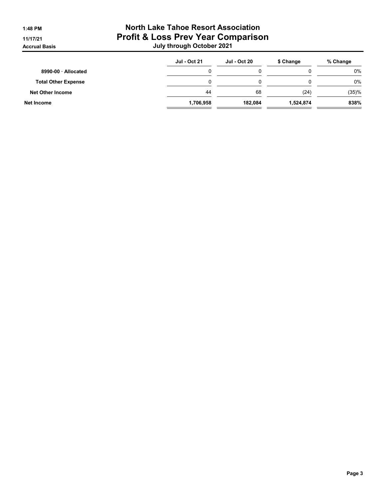# 1:48 PM North Lake Tahoe Resort Association 11/17/21 Profit & Loss Prev Year Comparison Accrual Basis July through October 2021

|                            | <b>Jul - Oct 21</b> | <b>Jul - Oct 20</b> | \$ Change | % Change |
|----------------------------|---------------------|---------------------|-----------|----------|
| 8990-00 Allocated          |                     |                     |           | 0%       |
| <b>Total Other Expense</b> |                     |                     |           | 0%       |
| <b>Net Other Income</b>    | 44                  | 68                  | (24)      | (35)%    |
| Net Income                 | 1,706,958           | 182.084             | 1,524,874 | 838%     |
|                            |                     |                     |           |          |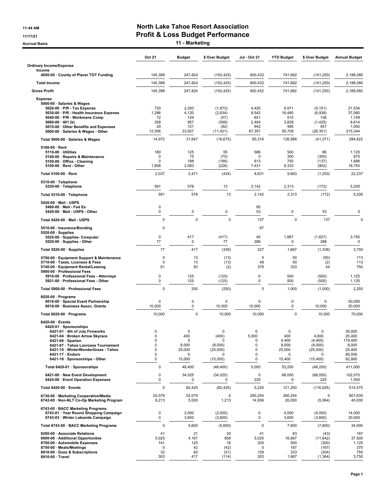### 11:44 AM **North Lake Tahoe Resort Association** 11/17/21 Profit & Loss Budget Performance

Accrual Basis **11 - Marketing** 

|                                                                                                                                                                                                                                                                                | <b>Oct 21</b>                                                 | <b>Budget</b>                                                    | \$ Over Budget                                           | Jul - Oct 21                                    | <b>YTD Budget</b>                                                    | \$ Over Budget                                                            | <b>Annual Budget</b>                                               |
|--------------------------------------------------------------------------------------------------------------------------------------------------------------------------------------------------------------------------------------------------------------------------------|---------------------------------------------------------------|------------------------------------------------------------------|----------------------------------------------------------|-------------------------------------------------|----------------------------------------------------------------------|---------------------------------------------------------------------------|--------------------------------------------------------------------|
| <b>Ordinary Income/Expense</b>                                                                                                                                                                                                                                                 |                                                               |                                                                  |                                                          |                                                 |                                                                      |                                                                           |                                                                    |
| Income<br>4050-00 County of Placer TOT Funding                                                                                                                                                                                                                                 | 145,399                                                       | 247,824                                                          | (102, 425)                                               | 600,432                                         | 741,682                                                              | (141, 250)                                                                | 2,188,080                                                          |
| <b>Total Income</b>                                                                                                                                                                                                                                                            | 145,399                                                       | 247,824                                                          | (102, 425)                                               | 600,432                                         | 741,682                                                              | (141, 250)                                                                | 2.188.080                                                          |
| <b>Gross Profit</b>                                                                                                                                                                                                                                                            | 145,399                                                       | 247,824                                                          | (102, 425)                                               | 600,432                                         | 741,682                                                              | (141, 250)                                                                | 2,188,080                                                          |
| <b>Expense</b>                                                                                                                                                                                                                                                                 |                                                               |                                                                  |                                                          |                                                 |                                                                      |                                                                           |                                                                    |
| 5000-00 · Salaries & Wages<br>$5020-00 \cdot P/R$ - Tax Expense<br>5030-00 · P/R - Health Insurance Expense<br>5040-00 · P/R - Workmans Comp<br>5060-00 $\cdot$ 401 (k)<br>5070-00 · Other Benefits and Expenses<br>5000-00 · Salaries & Wages - Other                         | 720<br>1,286<br>72<br>358<br>29<br>12,506                     | 2,393<br>4,120<br>129<br>957<br>121<br>23,927                    | (1,673)<br>(2,834)<br>(57)<br>(599)<br>(92)<br>(11, 421) | 4,420<br>9,542<br>651<br>2,404<br>942<br>67,357 | 9,571<br>16,480<br>515<br>3,828<br>485<br>95,708                     | (5, 151)<br>(6,938)<br>136<br>(1, 425)<br>457<br>(28, 351)                | 21,534<br>37,080<br>1,159<br>8,614<br>1,092<br>215,344             |
| Total 5000-00 · Salaries & Wages                                                                                                                                                                                                                                               | 14,972                                                        | 31,647                                                           | (16, 675)                                                | 85,316                                          | 126,588                                                              | (41, 271)                                                                 | 284,822                                                            |
| $5100-00 \cdot$ Rent<br>$5110-00 \cdot$ Utilities<br>5140-00 · Repairs & Maintenance<br>5150-00 · Office - Cleaning<br>5100-00 · Rent - Other                                                                                                                                  | 180<br>0<br>0<br>1,858                                        | 125<br>75<br>188<br>2,083                                        | 55<br>(75)<br>(188)<br>(226)                             | 586<br>0<br>613<br>7,431                        | 500<br>300<br>750<br>8,333                                           | 86<br>(300)<br>(137)<br>(902)                                             | 1,125<br>675<br>1,688<br>18,750                                    |
| Total 5100-00 · Rent                                                                                                                                                                                                                                                           | 2,037                                                         | 2,471                                                            | (434)                                                    | 8,631                                           | 9,883                                                                | (1, 253)                                                                  | 22,237                                                             |
| 5310-00 · Telephone<br>5320-00 · Telephone                                                                                                                                                                                                                                     | 591                                                           | 578                                                              | 13                                                       | 2,142                                           | 2,313                                                                | (172)                                                                     | 5,205                                                              |
| Total 5310-00 · Telephone                                                                                                                                                                                                                                                      | 591                                                           | 578                                                              | 13                                                       | 2,142                                           | 2,313                                                                | (172)                                                                     | 5,205                                                              |
| 5420-00 Mail - USPS<br>5480-00 · Mail - Fed Ex<br>5420-00 · Mail - USPS - Other                                                                                                                                                                                                | 0<br>0                                                        | 0                                                                | $\pmb{0}$                                                | 85<br>53                                        | 0                                                                    | 53                                                                        | 0                                                                  |
| Total 5420-00 · Mail - USPS                                                                                                                                                                                                                                                    | $\Omega$                                                      | $\mathbf 0$                                                      | $\mathbf 0$                                              | 137                                             | $\Omega$                                                             | 137                                                                       | $\mathbf 0$                                                        |
| 5510-00 · Insurance/Bonding<br>$5520-00 \cdot$ Supplies                                                                                                                                                                                                                        | 0                                                             |                                                                  |                                                          | 87                                              |                                                                      |                                                                           |                                                                    |
| 5525-00 · Supplies- Computer<br>5520-00 · Supplies - Other                                                                                                                                                                                                                     | 0<br>77                                                       | 417<br>0                                                         | (417)<br>77                                              | 40<br>288                                       | 1,667<br>0                                                           | (1,627)<br>288                                                            | 3,750<br>0                                                         |
| Total 5520-00 · Supplies                                                                                                                                                                                                                                                       | 77                                                            | 417                                                              | (339)                                                    | 327                                             | 1,667                                                                | (1, 339)                                                                  | 3,750                                                              |
| 5700-00 · Equipment Support & Maintenance<br>5710-00 · Taxes, Licenses & Fees<br>5740-00 · Equipment Rental/Leasing<br>5900-00 · Professional Fees                                                                                                                             | $\mathbf 0$<br>$\Omega$<br>81                                 | 13<br>13<br>83                                                   | (13)<br>(13)<br>(2)                                      | 0<br>48<br>378                                  | 50<br>50<br>333                                                      | (50)<br>(2)<br>44                                                         | 113<br>113<br>750                                                  |
| 5910-00 · Professional Fees - Attorneys<br>5921-00 · Professional Fees - Other                                                                                                                                                                                                 | 0<br>0                                                        | 125<br>125                                                       | (125)<br>(125)                                           | 0<br>0                                          | 500<br>500                                                           | (500)<br>(500)                                                            | 1,125<br>1,125                                                     |
| Total 5900-00 · Professional Fees                                                                                                                                                                                                                                              | $\Omega$                                                      | 250                                                              | (250)                                                    | 0                                               | 1,000                                                                | (1,000)                                                                   | 2,250                                                              |
| $6020-00 \cdot$ Programs<br>6016-00 · Special Event Partnership<br>6018-00 · Business Assoc. Grants                                                                                                                                                                            | 0<br>10,000                                                   | 0<br>0                                                           | 0<br>10,000                                              | $\Omega$<br>10,000                              | 0<br>0                                                               | $\mathbf 0$<br>10,000                                                     | 50,000<br>20,000                                                   |
| Total 6020-00 · Programs                                                                                                                                                                                                                                                       | 10,000                                                        | 0                                                                | 10,000                                                   | 10,000                                          | $\Omega$                                                             | 10,000                                                                    | 70,000                                                             |
| $6420-00 \cdot$ Events<br>6420-01 · Sponsorships<br>6421-01 · 4th of July Fireworks<br>6421-04 · Broken Arrow Skyrace<br>6421-06 · Spartan<br>6421-07 · Tahoe Lacrosse Tournament<br>6421-10 · WinterWonderGrass - Tahoe<br>6421-17 · Enduro<br>6421-18 · Sponsorships - Other | 0<br>$\mathbf 0$<br>$\mathbf 0$<br>$\mathbf 0$<br>0<br>0<br>0 | $\mathbf 0$<br>400<br>0<br>8,000<br>25,000<br>$\Omega$<br>15,000 | 0<br>(400)<br>0<br>(8,000)<br>(25,000)<br>O<br>(15,000)  | 0<br>5,000<br>0<br>0<br>0<br>0<br>0             | $\mathbf 0$<br>400<br>4,400<br>8,000<br>25,000<br>$\Omega$<br>15,400 | $\mathbf 0$<br>4,600<br>(4, 400)<br>(8,000)<br>(25,000)<br>O<br>(15, 400) | 30,000<br>25,400<br>179,400<br>8,000<br>25,400<br>80,000<br>62,800 |
| Total 6420-01 · Sponsorships                                                                                                                                                                                                                                                   | 0                                                             | 48,400                                                           | (48, 400)                                                | 5,000                                           | 53,200                                                               | (48, 200)                                                                 | 411,000                                                            |
| 6421-00 · New Event Development<br>6424-00 · Event Operation Expenses                                                                                                                                                                                                          | 0<br>0                                                        | 34,025<br>0                                                      | (34, 025)<br>0                                           | 0<br>225                                        | 68,050<br>0                                                          | (68,050)<br>225                                                           | 102,075<br>1,500                                                   |
| Total 6420-00 · Events                                                                                                                                                                                                                                                         | $\mathbf 0$                                                   | 82,425                                                           | (82, 425)                                                | 5,225                                           | 121,250                                                              | (116, 025)                                                                | 514,575                                                            |
| 6730-00 · Marketing Cooperative/Media<br>6742-00 · Non-NLT Co-Op Marketing Program                                                                                                                                                                                             | 52,079<br>6,213                                               | 52,079<br>5,000                                                  | 0<br>1,213                                               | 260,254<br>14,936                               | 260,254<br>20,000                                                    | 0<br>(5,064)                                                              | 801,630<br>45,000                                                  |
| 6743-00 · BACC Marketing Programs<br>6743-01 · Year Round Shopping Campaign<br>6743-03 · Winter Lakeside Campaign                                                                                                                                                              | 0<br>0                                                        | 2,000<br>3,600                                                   | (2,000)<br>(3,600)                                       | 0<br>0                                          | 4,000<br>3,600                                                       | (4,000)<br>(3,600)                                                        | 14,000<br>20,000                                                   |
| Total 6743-00 · BACC Marketing Programs                                                                                                                                                                                                                                        | $\mathbf 0$                                                   | 5,600                                                            | (5,600)                                                  | 0                                               | 7,600                                                                | (7,600)                                                                   | 34,000                                                             |
| 8200-00 · Associate Relations<br>8600-00 · Additional Opportunites<br>8700-00 · Automobile Expenses<br>8750-00 · Meals/Meetings<br>8810-00 · Dues & Subscriptions<br>8910-00 · Travel                                                                                          | 41<br>5,025<br>141<br>$\mathbf 0$<br>32<br>303                | 21<br>4,167<br>125<br>42<br>83<br>417                            | 20<br>858<br>16<br>(42)<br>(51)<br>(114)                 | 41<br>5,025<br>200<br>0<br>129<br>303           | 83<br>16,667<br>500<br>167<br>333<br>1,667                           | (43)<br>(11, 642)<br>(300)<br>(167)<br>(204)<br>(1, 364)                  | 187<br>37,500<br>1,125<br>375<br>750<br>3,750                      |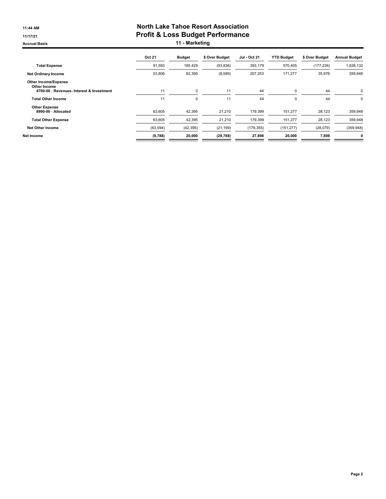#### 11:44 AM **North Lake Tahoe Resort Association** 11/17/21 Profit & Loss Budget Performance Accrual Basis **11 - Marketing**

|                                                                                          | Oct 21    | <b>Budget</b> | \$ Over Budget | <b>Jul - Oct 21</b> | <b>YTD Budget</b> | \$ Over Budget | <b>Annual Budget</b> |
|------------------------------------------------------------------------------------------|-----------|---------------|----------------|---------------------|-------------------|----------------|----------------------|
| <b>Total Expense</b>                                                                     | 91,593    | 185,429       | (93, 836)      | 393,179             | 570,405           | (177, 226)     | 1,828,132            |
| <b>Net Ordinary Income</b>                                                               | 53,806    | 62,395        | (8,589)        | 207,253             | 171,277           | 35,976         | 359,948              |
| <b>Other Income/Expense</b><br>Other Income<br>4700-00 · Revenues- Interest & Investment | 11        | 0             | 11             | 44                  | 0                 | 44             | 0                    |
| <b>Total Other Income</b>                                                                | 11        | 0             | 11             | 44                  | $\mathbf 0$       | 44             | 0                    |
| <b>Other Expense</b><br>8990-00 · Allocated                                              | 63,605    | 42,395        | 21,210         | 179,399             | 151,277           | 28,123         | 359,948              |
| <b>Total Other Expense</b>                                                               | 63,605    | 42,395        | 21,210         | 179,399             | 151,277           | 28,123         | 359,948              |
| <b>Net Other Income</b>                                                                  | (63, 594) | (42, 395)     | (21, 199)      | (179, 355)          | (151, 277)        | (28,079)       | (359, 948)           |
| Net Income                                                                               | (9,788)   | 20,000        | (29, 788)      | 27,898              | 20,000            | 7,898          | 0                    |
|                                                                                          |           |               |                |                     |                   |                |                      |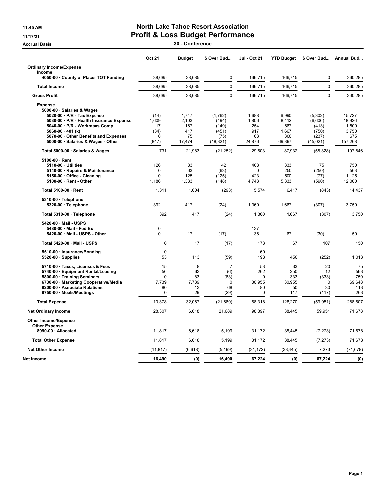## 11:45 AM **North Lake Tahoe Resort Association** 11/17/21 Profit & Loss Budget Performance

Accrual Basis 20 - Conference

|                                                                                                                                                                                                                                                                    | <b>Oct 21</b>                                      | <b>Budget</b>                                | \$ Over Bud                                                | <b>Jul - Oct 21</b>                                  | <b>YTD Budget</b>                               | \$ Over Bud                                                 | <b>Annual Bud</b>                                    |
|--------------------------------------------------------------------------------------------------------------------------------------------------------------------------------------------------------------------------------------------------------------------|----------------------------------------------------|----------------------------------------------|------------------------------------------------------------|------------------------------------------------------|-------------------------------------------------|-------------------------------------------------------------|------------------------------------------------------|
| <b>Ordinary Income/Expense</b>                                                                                                                                                                                                                                     |                                                    |                                              |                                                            |                                                      |                                                 |                                                             |                                                      |
| Income<br>4050-00 County of Placer TOT Funding                                                                                                                                                                                                                     | 38.685                                             | 38.685                                       | 0                                                          | 166,715                                              | 166.715                                         | 0                                                           | 360,285                                              |
| <b>Total Income</b>                                                                                                                                                                                                                                                | 38.685                                             | 38,685                                       | $\mathbf 0$                                                | 166,715                                              | 166.715                                         | $\mathbf 0$                                                 | 360,285                                              |
| <b>Gross Profit</b>                                                                                                                                                                                                                                                | 38,685                                             | 38,685                                       | $\mathbf 0$                                                | 166,715                                              | 166,715                                         | $\mathbf 0$                                                 | 360,285                                              |
| <b>Expense</b><br>5000-00 · Salaries & Wages<br>5020-00 · P/R - Tax Expense<br>5030-00 · P/R - Health Insurance Expense<br>5040-00 · P/R - Workmans Comp<br>5060-00 $\cdot$ 401 (k)<br>5070-00 · Other Benefits and Expenses<br>5000-00 · Salaries & Wages - Other | (14)<br>1,609<br>17<br>(34)<br>$\Omega$<br>(847)   | 1,747<br>2,103<br>167<br>417<br>75<br>17,474 | (1,762)<br>(494)<br>(149)<br>(451)<br>(75)<br>(18, 321)    | 1,688<br>1,806<br>254<br>917<br>63<br>24,876         | 6,990<br>8,412<br>667<br>1,667<br>300<br>69,897 | (5, 302)<br>(6,606)<br>(413)<br>(750)<br>(237)<br>(45, 021) | 15,727<br>18,926<br>1,500<br>3,750<br>675<br>157,268 |
| Total 5000-00 · Salaries & Wages                                                                                                                                                                                                                                   | 731                                                | 21,983                                       | (21, 252)                                                  | 29,603                                               | 87,932                                          | (58, 328)                                                   | 197,846                                              |
| 5100-00 · Rent<br>5110-00 · Utilities<br>5140-00 · Repairs & Maintenance<br>5150-00 · Office - Cleaning<br>5100-00 · Rent - Other                                                                                                                                  | 126<br>$\Omega$<br>$\Omega$<br>1.186               | 83<br>63<br>125<br>1,333                     | 42<br>(63)<br>(125)<br>(148)                               | 408<br>$\Omega$<br>423<br>4.743                      | 333<br>250<br>500<br>5,333                      | 75<br>(250)<br>(77)<br>(590)                                | 750<br>563<br>1,125<br>12,000                        |
| Total 5100-00 · Rent                                                                                                                                                                                                                                               | 1,311                                              | 1,604                                        | (293)                                                      | 5,574                                                | 6,417                                           | (843)                                                       | 14,437                                               |
| 5310-00 · Telephone<br>5320-00 · Telephone                                                                                                                                                                                                                         | 392                                                | 417                                          | (24)                                                       | 1,360                                                | 1,667                                           | (307)                                                       | 3,750                                                |
| Total 5310-00 · Telephone                                                                                                                                                                                                                                          | 392                                                | 417                                          | (24)                                                       | 1,360                                                | 1,667                                           | (307)                                                       | 3,750                                                |
| 5420-00 · Mail - USPS<br>5480-00 Mail - Fed Ex<br>5420-00 · Mail - USPS - Other                                                                                                                                                                                    | 0<br>$\Omega$                                      | 17                                           | (17)                                                       | 137<br>36                                            | 67                                              | (30)                                                        | 150                                                  |
| Total 5420-00 · Mail - USPS                                                                                                                                                                                                                                        | 0                                                  | 17                                           | (17)                                                       | 173                                                  | 67                                              | 107                                                         | 150                                                  |
| 5510-00 · Insurance/Bonding<br>$5520-00 \cdot$ Supplies                                                                                                                                                                                                            | $\mathbf 0$<br>53                                  | 113                                          | (59)                                                       | 60<br>198                                            | 450                                             | (252)                                                       | 1,013                                                |
| 5710-00 · Taxes, Licenses & Fees<br>5740-00 · Equipment Rental/Leasing<br>5800-00 · Training Seminars<br>6730-00 · Marketing Cooperative/Media<br>8200-00 · Associate Relations<br>8750-00 · Meals/Meetings                                                        | 15<br>56<br>$\Omega$<br>7,739<br>80<br>$\mathbf 0$ | 8<br>63<br>83<br>7,739<br>13<br>29           | $\overline{7}$<br>(6)<br>(83)<br>$\mathbf 0$<br>68<br>(29) | 53<br>262<br>$\Omega$<br>30,955<br>80<br>$\mathbf 0$ | 33<br>250<br>333<br>30,955<br>50<br>117         | 20<br>12<br>(333)<br>$\mathbf 0$<br>30<br>(117)             | 75<br>563<br>750<br>69,648<br>113<br>263             |
| <b>Total Expense</b>                                                                                                                                                                                                                                               | 10,378                                             | 32,067                                       | (21, 689)                                                  | 68,318                                               | 128,270                                         | (59, 951)                                                   | 288,607                                              |
| <b>Net Ordinary Income</b>                                                                                                                                                                                                                                         | 28,307                                             | 6,618                                        | 21,689                                                     | 98,397                                               | 38,445                                          | 59,951                                                      | 71,678                                               |
| Other Income/Expense<br><b>Other Expense</b>                                                                                                                                                                                                                       |                                                    |                                              |                                                            |                                                      |                                                 |                                                             |                                                      |
| 8990-00 · Allocated                                                                                                                                                                                                                                                | 11,817                                             | 6,618                                        | 5,199                                                      | 31,172                                               | 38,445                                          | (7, 273)                                                    | 71,678                                               |
| <b>Total Other Expense</b>                                                                                                                                                                                                                                         | 11,817                                             | 6,618                                        | 5,199                                                      | 31,172                                               | 38,445                                          | (7, 273)                                                    | 71,678                                               |
| <b>Net Other Income</b>                                                                                                                                                                                                                                            | (11, 817)                                          | (6,618)                                      | (5, 199)                                                   | (31, 172)                                            | (38, 445)                                       | 7,273                                                       | (71, 678)                                            |
| Net Income                                                                                                                                                                                                                                                         | 16,490                                             | (0)                                          | 16,490                                                     | 67,224                                               | (0)                                             | 67,224                                                      | (0)                                                  |
|                                                                                                                                                                                                                                                                    |                                                    |                                              |                                                            |                                                      |                                                 |                                                             |                                                      |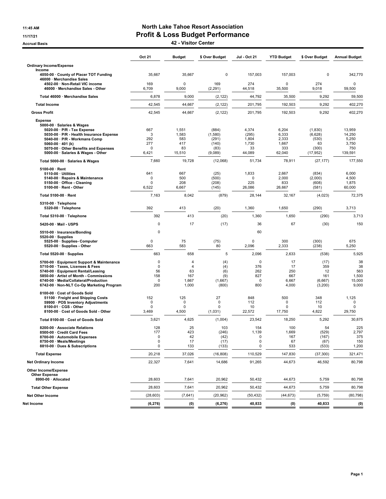### 11:45 AM **North Lake Tahoe Resort Association** 11/17/21 Profit & Loss Budget Performance

Accrual Basis 42 - Visitor Center

|                                                                                                                                                                                                                                                                  | Oct 21                                                        | <b>Budget</b>                                      | \$ Over Budget                                        | Jul - Oct 21                                     | <b>YTD Budget</b>                                 | \$ Over Budget                                          | <b>Annual Budget</b>                                 |
|------------------------------------------------------------------------------------------------------------------------------------------------------------------------------------------------------------------------------------------------------------------|---------------------------------------------------------------|----------------------------------------------------|-------------------------------------------------------|--------------------------------------------------|---------------------------------------------------|---------------------------------------------------------|------------------------------------------------------|
| <b>Ordinary Income/Expense</b><br>Income                                                                                                                                                                                                                         |                                                               |                                                    |                                                       |                                                  |                                                   |                                                         |                                                      |
| 4050-00 County of Placer TOT Funding<br>46000 · Merchandise Sales                                                                                                                                                                                                | 35,667                                                        | 35,667                                             | 0                                                     | 157.003                                          | 157,003                                           | 0                                                       | 342,770                                              |
| 4502-00 · Non-Retail VIC income<br>46000 · Merchandise Sales - Other                                                                                                                                                                                             | 169<br>6,709                                                  | $\mathbf 0$<br>9,000                               | 169<br>(2, 291)                                       | 274<br>44,518                                    | O<br>35,500                                       | 274<br>9,018                                            | $\mathbf 0$<br>59,500                                |
| Total 46000 · Merchandise Sales                                                                                                                                                                                                                                  | 6,878                                                         | 9,000                                              | (2, 122)                                              | 44,792                                           | 35,500                                            | 9,292                                                   | 59,500                                               |
| <b>Total Income</b>                                                                                                                                                                                                                                              | 42,545                                                        | 44,667                                             | (2, 122)                                              | 201,795                                          | 192,503                                           | 9,292                                                   | 402,270                                              |
| <b>Gross Profit</b>                                                                                                                                                                                                                                              | 42,545                                                        | 44,667                                             | (2, 122)                                              | 201,795                                          | 192,503                                           | 9,292                                                   | 402,270                                              |
| <b>Expense</b><br>5000-00 · Salaries & Wages<br>5020 00 · P/R - Tax Expense<br>5030-00 · P/R - Health Insurance Expense<br>5040-00 · P/R - Workmans Comp<br>5060-00 $\cdot$ 401 (k)<br>5070-00 Other Benefits and Expenses<br>5000-00 · Salaries & Wages - Other | 667<br>3<br>292<br>277<br>$\mathbf 0$<br>6,421                | 1,551<br>1,583<br>583<br>417<br>83<br>15,510       | (884)<br>(1,580)<br>(291)<br>(140)<br>(83)<br>(9,089) | 4,374<br>(295)<br>1,804<br>1,730<br>33<br>44,089 | 6,204<br>6,333<br>2,333<br>1,667<br>333<br>62,040 | (1,830)<br>(6,628)<br>(530)<br>63<br>(300)<br>(17, 952) | 13,959<br>14,250<br>5,250<br>3,750<br>750<br>139,591 |
| Total 5000-00 · Salaries & Wages                                                                                                                                                                                                                                 | 7,660                                                         | 19,728                                             | (12,068)                                              | 51,734                                           | 78,911                                            | (27, 177)                                               | 177,550                                              |
| $5100-00 \cdot$ Rent<br>$5110-00 \cdot$ Utilities<br>5140-00 · Repairs & Maintenance<br>5150 00 Office - Cleaning<br>5100-00 · Rent - Other                                                                                                                      | 641<br>$\mathbf 0$<br>$\mathbf 0$<br>6,522                    | 667<br>500<br>208<br>6,667                         | (25)<br>(500)<br>(208)<br>(145)                       | 1,833<br>$\mathbf 0$<br>225<br>26,086            | 2,667<br>2,000<br>833<br>26,667                   | (834)<br>(2,000)<br>(608)<br>(581)                      | 6,000<br>4,500<br>1,875<br>60,000                    |
| Total 5100-00 · Rent                                                                                                                                                                                                                                             | 7,163                                                         | 8,042                                              | (879)                                                 | 28,144                                           | 32,167                                            | (4,023)                                                 | 72,375                                               |
| 5310-00 · Telephone<br>5320-00 · Telephone                                                                                                                                                                                                                       | 392                                                           | 413                                                | (20)                                                  | 1,360                                            | 1,650                                             | (290)                                                   | 3,713                                                |
| Total 5310-00 · Telephone                                                                                                                                                                                                                                        | 392                                                           | 413                                                | (20)                                                  | 1,360                                            | 1,650                                             | (290)                                                   | 3,713                                                |
| 5420-00 · Mail - USPS                                                                                                                                                                                                                                            | $\mathbf 0$                                                   | 17                                                 | (17)                                                  | 36                                               | 67                                                | (30)                                                    | 150                                                  |
| 5510-00 · Insurance/Bonding<br>$5520-00 \cdot$ Supplies                                                                                                                                                                                                          | 0                                                             |                                                    |                                                       | 60                                               |                                                   |                                                         |                                                      |
| 5525-00 · Supplies- Computer<br>5520-00 · Supplies - Other                                                                                                                                                                                                       | 0<br>663                                                      | 75<br>583                                          | (75)<br>80                                            | 0<br>2,096                                       | 300<br>2,333                                      | (300)<br>(238)                                          | 675<br>5,250                                         |
| Total 5520-00 · Supplies                                                                                                                                                                                                                                         | 663                                                           | 658                                                | 5                                                     | 2,096                                            | 2,633                                             | (538)                                                   | 5,925                                                |
| 5700-00 · Equipment Support & Maintenance<br>5710-00 · Taxes, Licenses & Fees<br>5740-00 · Equipment Rental/Leasing<br>5850-00 · Artist of Month - Commissions<br>6740-00 · Media/Collateral/Production<br>6742-00 · Non-NLT Co-Op Marketing Program             | $\mathbf 0$<br>$\mathbf 0$<br>56<br>158<br>$\mathbf 0$<br>200 | 4<br>$\overline{4}$<br>63<br>167<br>1,667<br>1,000 | (4)<br>(4)<br>(6)<br>(9)<br>(1,667)<br>(800)          | 0<br>376<br>262<br>827<br>0<br>800               | 17<br>17<br>250<br>667<br>6,667<br>4,000          | (17)<br>359<br>12<br>161<br>(6,667)<br>(3,200)          | 38<br>38<br>563<br>1,500<br>15,000<br>9,000          |
| 8100-00 · Cost of Goods Sold<br>51100 · Freight and Shipping Costs<br>59900 · POS Inventory Adjustments<br>8100-01 · CGS - Other<br>8100-00 · Cost of Goods Sold - Other                                                                                         | 152<br>0<br>$\mathbf 0$<br>3,469                              | 125<br>0<br>$\mathbf 0$<br>4,500                   | 27<br>$\mathbf 0$<br>0<br>(1,031)                     | 848<br>112<br>10<br>22,572                       | 500<br>$\mathbf 0$<br>$\Omega$<br>17,750          | 348<br>112<br>10<br>4,822                               | 1,125<br>0<br>0<br>29,750                            |
| Total 8100-00 · Cost of Goods Sold                                                                                                                                                                                                                               | 3,621                                                         | 4,625                                              | (1,004)                                               | 23,542                                           | 18,250                                            | 5,292                                                   | 30,875                                               |
| 8200-00 · Associate Relations<br>8500-00 Credit Card Fees<br>8700-00 · Automobile Expenses<br>8750-00 · Meals/Meetings<br>8810-00 · Dues & Subscriptions                                                                                                         | 128<br>177<br>$\mathsf 0$<br>0<br>0                           | 25<br>423<br>42<br>17<br>133                       | 103<br>(246)<br>(42)<br>(17)<br>(133)                 | 154<br>1,139<br>0<br>0<br>0                      | 100<br>1,669<br>167<br>67<br>533                  | 54<br>(529)<br>(167)<br>(67)<br>(533)                   | 225<br>2,797<br>375<br>150<br>1,200                  |
| <b>Total Expense</b>                                                                                                                                                                                                                                             | 20,218                                                        | 37,026                                             | (16, 808)                                             | 110,529                                          | 147,830                                           | (37, 300)                                               | 321,471                                              |
| <b>Net Ordinary Income</b>                                                                                                                                                                                                                                       | 22,327                                                        | 7,641                                              | 14,686                                                | 91,265                                           | 44,673                                            | 46,592                                                  | 80,798                                               |
| Other Income/Expense<br><b>Other Expense</b><br>8990-00 · Allocated                                                                                                                                                                                              | 28,603                                                        | 7,641                                              | 20,962                                                | 50,432                                           | 44,673                                            | 5,759                                                   | 80,798                                               |
| <b>Total Other Expense</b>                                                                                                                                                                                                                                       | 28,603                                                        | 7,641                                              | 20,962                                                | 50,432                                           | 44,673                                            | 5,759                                                   | 80,798                                               |
| <b>Net Other Income</b>                                                                                                                                                                                                                                          | (28, 603)                                                     | (7,641)                                            | (20, 962)                                             | (50, 432)                                        | (44, 673)                                         | (5,759)                                                 | (80, 798)                                            |
| Net Income                                                                                                                                                                                                                                                       | (6, 276)                                                      | (0)                                                | (6, 276)                                              | 40,833                                           | (0)                                               | 40,833                                                  | (0)                                                  |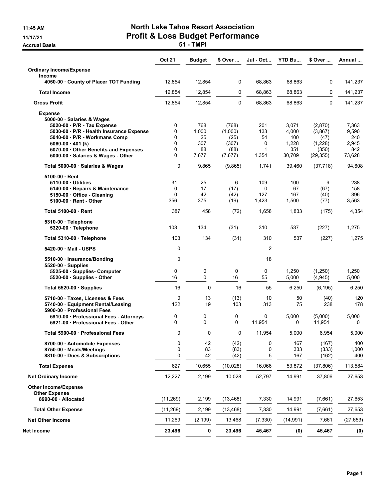Accrual Basis **Accrual Basis 51 - TMPI** 

# 11:45 AM North Lake Tahoe Resort Association 11/17/21 Profit & Loss Budget Performance

|                                                                                                           | <b>Oct 21</b> | Budget       | \$ Over          | Jul - Oct    | <b>YTD Bu</b>  | \$ Over             | Annual         |
|-----------------------------------------------------------------------------------------------------------|---------------|--------------|------------------|--------------|----------------|---------------------|----------------|
| <b>Ordinary Income/Expense</b>                                                                            |               |              |                  |              |                |                     |                |
| <b>Income</b><br>4050-00 County of Placer TOT Funding                                                     | 12,854        | 12,854       | 0                | 68,863       | 68,863         | 0                   | 141,237        |
| <b>Total Income</b>                                                                                       | 12,854        | 12,854       | $\mathbf 0$      | 68,863       | 68,863         | 0                   | 141,237        |
| <b>Gross Profit</b>                                                                                       | 12,854        | 12,854       | $\mathbf 0$      | 68,863       | 68,863         | 0                   | 141,237        |
| <b>Expense</b><br>5000-00 · Salaries & Wages                                                              |               |              |                  |              |                |                     |                |
| 5020-00 · P/R - Tax Expense<br>5030-00 · P/R - Health Insurance Expense                                   | 0<br>0        | 768<br>1,000 | (768)<br>(1,000) | 201<br>133   | 3,071<br>4,000 | (2,870)<br>(3,867)  | 7,363<br>9,590 |
| 5040-00 · P/R - Workmans Comp                                                                             | 0             | 25           | (25)             | 54           | 100            | (47)                | 240            |
| $5060-00 \cdot 401$ (k)                                                                                   | 0             | 307          | (307)            | 0            | 1,228          | (1,228)             | 2,945          |
| 5070-00 Other Benefits and Expenses<br>5000-00 · Salaries & Wages - Other                                 | 0<br>0        | 88<br>7,677  | (88)<br>(7,677)  | 1<br>1,354   | 351<br>30,709  | (350)<br>(29, 355)  | 842<br>73,628  |
| Total 5000-00 · Salaries & Wages                                                                          | 0             | 9,865        | (9,865)          | 1,741        | 39,460         | (37, 718)           | 94,608         |
| 5100-00 Rent                                                                                              |               |              |                  |              |                |                     |                |
| 5110-00 Utilities                                                                                         | 31            | 25           | 6                | 109          | 100            | 9                   | 238            |
| 5140-00 · Repairs & Maintenance                                                                           | 0             | 17           | (17)             | 0            | 67             | (67)                | 158            |
| 5150-00 Office - Cleaning                                                                                 | 0<br>356      | 42<br>375    | (42)             | 127<br>1,423 | 167<br>1,500   | (40)                | 396<br>3,563   |
| 5100-00 Rent - Other<br>Total 5100-00 Rent                                                                | 387           | 458          | (19)<br>(72)     | 1,658        | 1,833          | (77)<br>(175)       | 4,354          |
|                                                                                                           |               |              |                  |              |                |                     |                |
| 5310-00 · Telephone<br>5320-00 · Telephone                                                                | 103           | 134          | (31)             | 310          | 537            | (227)               | 1,275          |
| Total 5310-00 · Telephone                                                                                 | 103           | 134          | (31)             | 310          | 537            | (227)               | 1,275          |
| 5420-00 Mail - USPS                                                                                       | 0             |              |                  | 2            |                |                     |                |
| 5510-00 · Insurance/Bonding<br>$5520-00$ Supplies                                                         | 0             |              |                  | 18           |                |                     |                |
| 5525-00 Supplies- Computer<br>5520-00 · Supplies - Other                                                  | 0<br>16       | 0<br>0       | 0<br>16          | 0<br>55      | 1,250<br>5,000 | (1,250)<br>(4, 945) | 1,250<br>5,000 |
| Total 5520-00 Supplies                                                                                    | 16            | 0            | 16               | 55           | 6,250          | (6, 195)            | 6,250          |
| 5710-00 Taxes, Licenses & Fees<br>5740-00 · Equipment Rental/Leasing                                      | 0<br>122      | 13<br>19     | (13)<br>103      | 10<br>313    | 50<br>75       | (40)<br>238         | 120<br>178     |
| 5900-00 Professional Fees<br>5910-00 · Professional Fees - Attorneys<br>5921-00 Professional Fees - Other | 0<br>0        | 0<br>0       | 0<br>0           | 0<br>11,954  | 5,000<br>0     | (5,000)<br>11,954   | 5,000<br>0     |
| Total 5900-00 Professional Fees                                                                           | 0             | 0            | $\mathbf 0$      | 11,954       | 5,000          | 6,954               | 5,000          |
| 8700-00 Automobile Expenses                                                                               | 0             | 42           | (42)             | $\pmb{0}$    | 167            | (167)               | 400            |
| 8750-00 · Meals/Meetings                                                                                  | 0             | 83           | (83)             | 0            | 333            | (333)               | 1,000          |
| 8810-00 Dues & Subscriptions                                                                              | 0             | 42           | (42)             | 5            | 167            | (162)               | 400            |
| <b>Total Expense</b>                                                                                      | 627           | 10,655       | (10, 028)        | 16,066       | 53,872         | (37, 806)           | 113,584        |
| <b>Net Ordinary Income</b>                                                                                | 12,227        | 2,199        | 10,028           | 52,797       | 14,991         | 37,806              | 27,653         |
| <b>Other Income/Expense</b><br><b>Other Expense</b><br>8990-00 - Allocated                                |               |              |                  |              | 14,991         |                     |                |
|                                                                                                           | (11, 269)     | 2,199        | (13, 468)        | 7,330        |                | (7,661)             | 27,653         |
| <b>Total Other Expense</b>                                                                                | (11, 269)     | 2,199        | (13, 468)        | 7,330        | 14,991         | (7,661)             | 27,653         |
| <b>Net Other Income</b>                                                                                   | 11,269        | (2, 199)     | 13,468           | (7, 330)     | (14, 991)      | 7,661               | (27, 653)      |
| Net Income                                                                                                | 23,496        | 0            | 23,496           | 45,467       | (0)            | 45,467              | (0)            |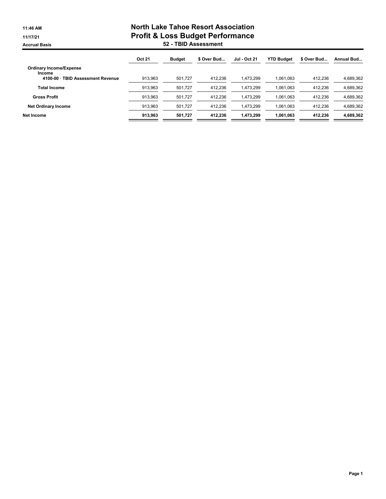# 11:46 AM North Lake Tahoe Resort Association 11/17/21 Profit & Loss Budget Performance Accrual Basis 52 - TBID Assessment

|                                          | <b>Oct 21</b> | <b>Budget</b> | \$ Over Bud | <b>Jul - Oct 21</b> | <b>YTD Budget</b> | \$ Over Bud | Annual Bud |
|------------------------------------------|---------------|---------------|-------------|---------------------|-------------------|-------------|------------|
| <b>Ordinary Income/Expense</b><br>Income |               |               |             |                     |                   |             |            |
| 4100-00 · TBID Assessment Revenue        | 913,963       | 501.727       | 412.236     | 1,473,299           | 1.061.063         | 412,236     | 4,689,362  |
| <b>Total Income</b>                      | 913.963       | 501.727       | 412.236     | 1.473.299           | 1.061.063         | 412.236     | 4,689,362  |
| <b>Gross Profit</b>                      | 913.963       | 501.727       | 412.236     | 1.473.299           | 1.061.063         | 412.236     | 4,689,362  |
| <b>Net Ordinary Income</b>               | 913.963       | 501.727       | 412.236     | 1.473.299           | 1.061.063         | 412.236     | 4,689,362  |
| Net Income                               | 913.963       | 501.727       | 412.236     | 1.473.299           | 1.061.063         | 412.236     | 4,689,362  |
|                                          |               |               |             |                     |                   |             |            |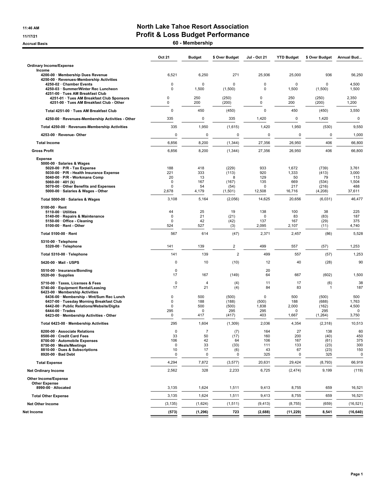#### 11:46 AM **North Lake Tahoe Resort Association** 11/17/21 Profit & Loss Budget Performance

Accrual Basis **60 - Membership** 

|                                                                                                                                                                                                                              | Oct 21                                             | <b>Budget</b>                               | \$ Over Budget                                  | Jul - Oct 21                          | <b>YTD Budget</b>                  | \$ Over Budget                             | Annual Bud                                    |
|------------------------------------------------------------------------------------------------------------------------------------------------------------------------------------------------------------------------------|----------------------------------------------------|---------------------------------------------|-------------------------------------------------|---------------------------------------|------------------------------------|--------------------------------------------|-----------------------------------------------|
| <b>Ordinary Income/Expense</b>                                                                                                                                                                                               |                                                    |                                             |                                                 |                                       |                                    |                                            |                                               |
| Income<br>4200-00 · Membership Dues Revenue<br>4250-00 · Revenues-Membership Activities                                                                                                                                      | 6,521                                              | 6,250                                       | 271                                             | 25,936                                | 25,000                             | 936                                        | 56,250                                        |
| 4250-02 · Chamber Events<br>4250-03 · Summer/Winter Rec Luncheon<br>4251-00 · Tues AM Breakfast Club                                                                                                                         | $\mathbf 0$<br>0                                   | 0<br>1,500                                  | 0<br>(1,500)                                    | 0<br>0                                | 0<br>1,500                         | $\Omega$<br>(1,500)                        | 4,500<br>1,500                                |
| 4251-01 · Tues AM Breakfast Club Sponsors<br>4251-00 · Tues AM Breakfast Club - Other                                                                                                                                        | $\mathbf 0$<br>0                                   | 250<br>200                                  | (250)<br>(200)                                  | $\pmb{0}$<br>$\pmb{0}$                | 250<br>200                         | (250)<br>(200)                             | 2,350<br>1,200                                |
| Total 4251-00 · Tues AM Breakfast Club                                                                                                                                                                                       | $\mathbf 0$                                        | 450                                         | (450)                                           | 0                                     | 450                                | (450)                                      | 3,550                                         |
| 4250-00 · Revenues-Membership Activities - Other                                                                                                                                                                             | 335                                                | 0                                           | 335                                             | 1,420                                 | 0                                  | 1,420                                      | 0                                             |
| Total 4250-00 · Revenues-Membership Activities                                                                                                                                                                               | 335                                                | 1,950                                       | (1,615)                                         | 1,420                                 | 1,950                              | (530)                                      | 9,550                                         |
| 4253-00 · Revenue- Other                                                                                                                                                                                                     | 0                                                  | 0                                           | 0                                               | 0                                     | 0                                  | 0                                          | 1,000                                         |
| <b>Total Income</b>                                                                                                                                                                                                          | 6,856                                              | 8,200                                       | (1, 344)                                        | 27,356                                | 26,950                             | 406                                        | 66,800                                        |
| <b>Gross Profit</b>                                                                                                                                                                                                          | 6,856                                              | 8,200                                       | (1, 344)                                        | 27,356                                | 26,950                             | 406                                        | 66,800                                        |
| <b>Expense</b><br>5000-00 · Salaries & Wages<br>5020 00 · P/R - Tax Expense<br>5030-00 · P/R - Health Insurance Expense<br>5040-00 · P/R - Workmans Comp<br>5060-00 $\cdot$ 401 (k)<br>5070-00 · Other Benefits and Expenses | 188<br>221<br>20<br>$\mathbf 0$<br>$\mathbf 0$     | 418<br>333<br>13<br>167<br>54               | (229)<br>(113)<br>8<br>(167)<br>(54)            | 933<br>920<br>129<br>135<br>$\Omega$  | 1,672<br>1,333<br>50<br>669<br>217 | (739)<br>(413)<br>79<br>(534)<br>(216)     | 3,761<br>3,000<br>113<br>1,504<br>488         |
| 5000-00 · Salaries & Wages - Other                                                                                                                                                                                           | 2,678                                              | 4,179                                       | (1,501)                                         | 12,508                                | 16,716                             | (4,208)                                    | 37,611                                        |
| Total 5000-00 · Salaries & Wages                                                                                                                                                                                             | 3,108                                              | 5,164                                       | (2,056)                                         | 14,625                                | 20,656                             | (6,031)                                    | 46,477                                        |
| $5100-00 \cdot$ Rent<br>$5110-00 \cdot$ Utilities<br>5140-00 · Repairs & Maintenance<br>5150-00 Office - Cleaning<br>5100-00 · Rent - Other<br>Total 5100-00 · Rent                                                          | 44<br>$\mathbf 0$<br>$\mathbf 0$<br>524<br>567     | 25<br>21<br>42<br>527<br>614                | 19<br>(21)<br>(42)<br>(3)<br>(47)               | 138<br>0<br>137<br>2,095<br>2,371     | 100<br>83<br>167<br>2,107<br>2,457 | 38<br>(83)<br>(29)<br>(11)<br>(86)         | 225<br>187<br>375<br>4,740<br>5,528           |
| 5310-00 · Telephone                                                                                                                                                                                                          |                                                    |                                             |                                                 |                                       |                                    |                                            |                                               |
| 5320-00 · Telephone                                                                                                                                                                                                          | 141                                                | 139                                         | 2                                               | 499                                   | 557                                | (57)                                       | 1,253                                         |
| Total 5310-00 · Telephone                                                                                                                                                                                                    | 141                                                | 139                                         | $\overline{2}$                                  | 499                                   | 557                                | (57)                                       | 1,253                                         |
| 5420-00 Mail - USPS                                                                                                                                                                                                          | 0                                                  | 10                                          | (10)                                            | 12                                    | 40                                 | (28)                                       | 90                                            |
| 5510-00 · Insurance/Bonding<br>$5520-00 \cdot$ Supplies                                                                                                                                                                      | 0<br>17                                            | 167                                         | (149)                                           | 20<br>64                              | 667                                | (602)                                      | 1,500                                         |
| 5710-00 · Taxes, Licenses & Fees<br>5740-00 · Equipment Rental/Leasing<br>6423-00 · Membership Activities                                                                                                                    | $\mathbf 0$<br>17                                  | $\overline{4}$<br>21                        | (4)<br>(4)                                      | 11<br>84                              | 17<br>83                           | (6)<br>1                                   | 38<br>187                                     |
| 6436-00 · Membership - Wnt/Sum Rec Lunch<br>6437-00 · Tuesday Morning Breakfast Club<br>6442-00 · Public Relations/Website/Digita<br>$6444.00 \cdot Trades$<br>6423-00 · Membership Activities - Other                       | $\mathbf 0$<br>0<br>$\Omega$<br>295<br>$\mathbf 0$ | 500<br>188<br>500<br>0<br>417               | (500)<br>(188)<br>(500)<br>295<br>(417)         | 0<br>(500)<br>1,838<br>295<br>403     | 500<br>188<br>2,000<br>0<br>1,667  | (500)<br>(688)<br>(162)<br>295<br>(1, 264) | 500<br>1,763<br>4,500<br>$\mathbf 0$<br>3,750 |
| Total 6423-00 · Membership Activities                                                                                                                                                                                        | 295                                                | 1,604                                       | (1,309)                                         | 2,036                                 | 4,354                              | (2,318)                                    | 10,513                                        |
| 8200-00 · Associate Relations<br>8500-00 · Credit Card Fees<br>8700-00 · Automobile Expenses<br>8750-00 · Meals/Meetings<br>8810-00 · Dues & Subscriptions<br>8920-00 · Bad Debt                                             | 0<br>33<br>106<br>0<br>10<br>0                     | $\overline{7}$<br>50<br>42<br>33<br>17<br>0 | (7)<br>(17)<br>64<br>(33)<br>(6)<br>$\mathbf 0$ | 164<br>160<br>106<br>111<br>43<br>325 | 27<br>200<br>167<br>133<br>67<br>0 | 138<br>(40)<br>(61)<br>(23)<br>(23)<br>325 | 60<br>450<br>375<br>300<br>150<br>0           |
| <b>Total Expense</b>                                                                                                                                                                                                         | 4,294                                              | 7,872                                       | (3, 577)                                        | 20,631                                | 29,424                             | (8, 793)                                   | 66,919                                        |
| <b>Net Ordinary Income</b>                                                                                                                                                                                                   | 2,562                                              | 328                                         | 2,233                                           | 6,725                                 | (2, 474)                           | 9,199                                      | (119)                                         |
| Other Income/Expense<br><b>Other Expense</b><br>8990-00 · Allocated                                                                                                                                                          | 3,135                                              | 1,624                                       | 1,511                                           | 9,413                                 | 8,755                              | 659                                        | 16,521                                        |
| <b>Total Other Expense</b>                                                                                                                                                                                                   | 3,135                                              | 1,624                                       | 1,511                                           | 9,413                                 | 8,755                              | 659                                        | 16,521                                        |
| <b>Net Other Income</b>                                                                                                                                                                                                      | (3, 135)                                           | (1,624)                                     | (1, 511)                                        | (9, 413)                              | (8, 755)                           | (659)                                      | (16,521)                                      |
| Net Income                                                                                                                                                                                                                   | (573)                                              | (1, 296)                                    | 723                                             | (2,688)                               | (11, 229)                          | 8,541                                      | (16, 640)                                     |
|                                                                                                                                                                                                                              |                                                    |                                             |                                                 |                                       |                                    |                                            |                                               |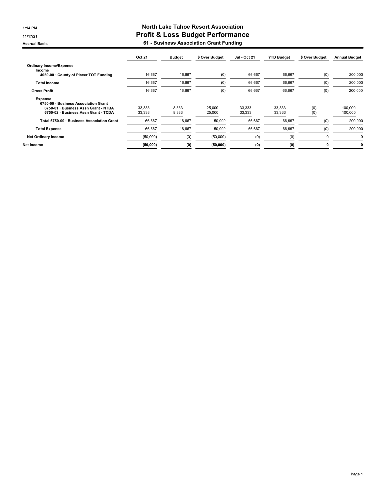**Accrual Basis** 

# 1:14 PM North Lake Tahoe Resort Association 11/17/21 Profit & Loss Budget Performance

| 61 - Business Association Grant Funding |  |  |  |
|-----------------------------------------|--|--|--|
|-----------------------------------------|--|--|--|

|                                                                                                                                 | <b>Oct 21</b>    | <b>Budget</b>  | \$ Over Budget   | <b>Jul - Oct 21</b> | <b>YTD Budget</b> | \$ Over Budget | <b>Annual Budget</b> |
|---------------------------------------------------------------------------------------------------------------------------------|------------------|----------------|------------------|---------------------|-------------------|----------------|----------------------|
| <b>Ordinary Income/Expense</b><br>Income                                                                                        |                  |                |                  |                     |                   |                |                      |
| 4050-00 County of Placer TOT Funding                                                                                            | 16,667           | 16,667         | (0)              | 66,667              | 66,667            | (0)            | 200,000              |
| <b>Total Income</b>                                                                                                             | 16,667           | 16,667         | (0)              | 66,667              | 66,667            | (0)            | 200,000              |
| <b>Gross Profit</b>                                                                                                             | 16,667           | 16,667         | (0)              | 66,667              | 66,667            | (0)            | 200,000              |
| Expense<br>6750-00 · Business Association Grant<br>6750-01 · Business Assn Grant - NTBA<br>6750-02 · Business Assn Grant - TCDA | 33,333<br>33,333 | 8.333<br>8,333 | 25,000<br>25,000 | 33,333<br>33,333    | 33,333<br>33,333  | (0)<br>(0)     | 100,000<br>100,000   |
| Total 6750-00 · Business Association Grant                                                                                      | 66,667           | 16,667         | 50,000           | 66,667              | 66,667            | (0)            | 200,000              |
| <b>Total Expense</b>                                                                                                            | 66,667           | 16,667         | 50,000           | 66,667              | 66,667            | (0)            | 200,000              |
| <b>Net Ordinary Income</b>                                                                                                      | (50,000)         | (0)            | (50,000)         | (0)                 | (0)               | 0              | 0                    |
| Net Income                                                                                                                      | (50,000)         | (0)            | (50,000)         | (0)                 | (0)               | 0              | 0                    |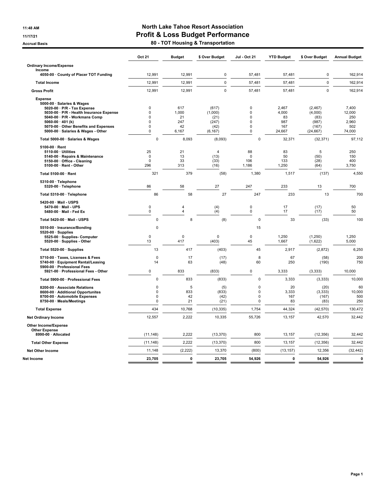# 11:48 AM **North Lake Tahoe Resort Association** 11/17/21 Profit & Loss Budget Performance

Accrual Basis **Accrual Basis Accrual Basis Accrual Basis Accrual Basis Accrual Basis Accrual Basis Accrual Basis** 

|                                                                                                                                                                                     | Oct 21                                       | <b>Budget</b>             | \$ Over Budget                         | Jul - Oct 21                         | <b>YTD Budget</b>           | \$ Over Budget                         | <b>Annual Budget</b>            |
|-------------------------------------------------------------------------------------------------------------------------------------------------------------------------------------|----------------------------------------------|---------------------------|----------------------------------------|--------------------------------------|-----------------------------|----------------------------------------|---------------------------------|
| <b>Ordinary Income/Expense</b>                                                                                                                                                      |                                              |                           |                                        |                                      |                             |                                        |                                 |
| Income<br>4050-00 · County of Placer TOT Funding                                                                                                                                    | 12,991                                       | 12,991                    | $\pmb{0}$                              | 57,481                               | 57,481                      | $\mathbf 0$                            | 162,914                         |
| <b>Total Income</b>                                                                                                                                                                 | 12,991                                       | 12,991                    | $\pmb{0}$                              | 57,481                               | 57,481                      | $\mathbf 0$                            | 162,914                         |
| <b>Gross Profit</b>                                                                                                                                                                 | 12,991                                       | 12,991                    | $\mathbf 0$                            | 57,481                               | 57,481                      | $\mathbf 0$                            | 162,914                         |
| <b>Expense</b><br>5000-00 · Salaries & Wages<br>5020-00 · P/R - Tax Expense<br>5030-00 · P/R - Health Insurance Expense<br>5040-00 · P/R - Workmans Comp<br>5060-00 $\cdot$ 401 (k) | $\mathbf 0$<br>$\Omega$<br>$\mathbf 0$<br>0  | 617<br>1,000<br>21<br>247 | (617)<br>(1,000)<br>(21)<br>(247)      | 0<br>$\Omega$<br>0<br>0              | 2,467<br>4,000<br>83<br>987 | (2, 467)<br>(4,000)<br>(83)<br>(987)   | 7,400<br>12,000<br>250<br>2,960 |
| 5070-00 · Other Benefits and Expenses<br>5000-00 · Salaries & Wages - Other                                                                                                         | $\mathbf 0$<br>$\mathbf 0$                   | 42<br>6.167               | (42)<br>(6, 167)                       | 0<br>0                               | 167<br>24,667               | (167)<br>(24, 667)                     | 502<br>74,000                   |
| Total 5000-00 · Salaries & Wages                                                                                                                                                    | $\mathbf 0$                                  | 8,093                     | (8,093)                                | 0                                    | 32,371                      | (32, 371)                              | 97,112                          |
| 5100-00 · Rent<br>5110-00 · Utilities<br>5140-00 · Repairs & Maintenance<br>5150-00 Office - Cleaning<br>5100-00 · Rent - Other                                                     | 25<br>$\Omega$<br>$\mathbf 0$<br>296         | 21<br>13<br>33<br>313     | $\overline{4}$<br>(13)<br>(33)<br>(16) | 88<br>$\mathbf 0$<br>106<br>1,186    | 83<br>50<br>133<br>1,250    | $\overline{5}$<br>(50)<br>(28)<br>(64) | 250<br>150<br>400<br>3,750      |
| Total 5100-00 · Rent                                                                                                                                                                | 321                                          | 379                       | (58)                                   | 1,380                                | 1,517                       | (137)                                  | 4,550                           |
| 5310-00 · Telephone<br>5320-00 · Telephone                                                                                                                                          | 86                                           | 58                        | 27                                     | 247                                  | 233                         | 13                                     | 700                             |
| Total 5310-00 · Telephone                                                                                                                                                           | 86                                           | 58                        | 27                                     | 247                                  | 233                         | 13                                     | 700                             |
| 5420-00 · Mail - USPS<br>5470-00 · Mail - UPS<br>5480-00 · Mail - Fed Ex                                                                                                            | $\pmb{0}$<br>$\mathbf 0$                     | 4<br>$\overline{4}$       | (4)<br>(4)                             | 0<br>$\mathbf 0$                     | 17<br>17                    | (17)<br>(17)                           | 50<br>50                        |
| Total 5420-00 · Mail - USPS                                                                                                                                                         | $\pmb{0}$                                    | 8                         | (8)                                    | $\mathbf 0$                          | 33                          | (33)                                   | 100                             |
| 5510-00 · Insurance/Bonding<br>$5520-00 \cdot$ Supplies<br>5525-00 · Supplies- Computer<br>5520-00 · Supplies - Other                                                               | $\mathbf 0$<br>$\mathbf 0$<br>13             | 0<br>417                  | 0<br>(403)                             | 15<br>$\mathbf 0$<br>45              | 1,250<br>1,667              | (1,250)<br>(1,622)                     | 1,250<br>5,000                  |
| Total 5520-00 · Supplies                                                                                                                                                            | 13                                           | 417                       | (403)                                  | 45                                   | 2,917                       | (2,872)                                | 6,250                           |
| 5710-00 · Taxes, Licenses & Fees<br>5740-00 · Equipment Rental/Leasing<br>5900-00 · Professional Fees                                                                               | $\mathbf 0$<br>14                            | 17<br>63                  | (17)<br>(48)                           | 8<br>60                              | 67<br>250                   | (58)<br>(190)                          | 200<br>750                      |
| 5921-00 · Professional Fees - Other                                                                                                                                                 | $\mathbf 0$                                  | 833                       | (833)                                  | 0                                    | 3,333                       | (3, 333)                               | 10,000                          |
| Total 5900-00 · Professional Fees                                                                                                                                                   | $\mathbf 0$                                  | 833                       | (833)                                  | $\mathbf 0$                          | 3,333                       | (3, 333)                               | 10,000                          |
| 8200-00 · Associate Relations<br>8600-00 · Additional Opportunites<br>8700-00 · Automobile Expenses<br>8750-00 · Meals/Meetings                                                     | $\mathbf 0$<br>$\pmb{0}$<br>0<br>$\mathbf 0$ | 5<br>833<br>42<br>21      | (5)<br>(833)<br>(42)<br>(21)           | 0<br>$\mathbf 0$<br>0<br>$\mathbf 0$ | 20<br>3,333<br>167<br>83    | (20)<br>(3, 333)<br>(167)<br>(83)      | 60<br>10,000<br>500<br>250      |
| <b>Total Expense</b>                                                                                                                                                                | 434                                          | 10,768                    | (10, 335)                              | 1,754                                | 44,324                      | (42, 570)                              | 130,472                         |
| <b>Net Ordinary Income</b>                                                                                                                                                          | 12,557                                       | 2,222                     | 10,335                                 | 55,726                               | 13,157                      | 42,570                                 | 32,442                          |
| Other Income/Expense<br><b>Other Expense</b><br>8990-00 · Allocated                                                                                                                 | (11, 148)                                    | 2,222                     | (13, 370)                              | 800                                  | 13,157                      | (12, 356)                              | 32,442                          |
| <b>Total Other Expense</b>                                                                                                                                                          | (11, 148)                                    | 2,222                     | (13, 370)                              | 800                                  | 13,157                      | (12, 356)                              | 32,442                          |
| Net Other Income                                                                                                                                                                    | 11,148                                       | (2, 222)                  | 13,370                                 | (800)                                | (13, 157)                   | 12,356                                 | (32, 442)                       |
| Net Income                                                                                                                                                                          | 23,705                                       | 0                         | 23,705                                 | 54,926                               | $\mathbf 0$                 | 54,926                                 | 0                               |